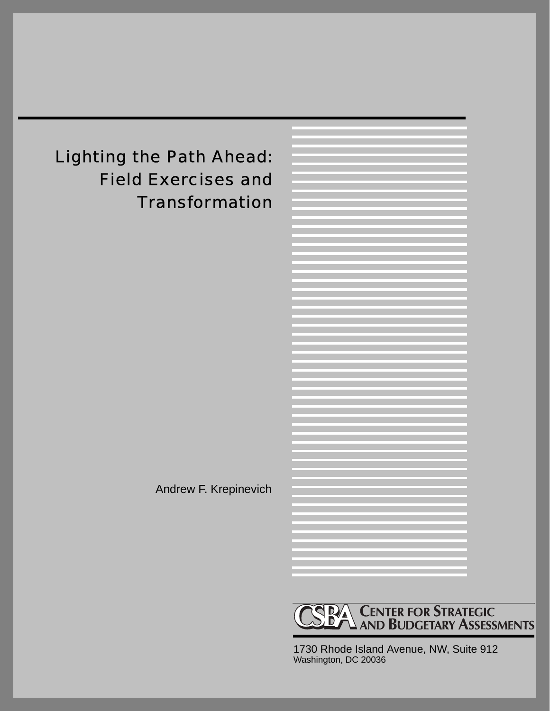# Lighting the Path Ahead: Field Exercises and **Transformation**

Andrew F. Krepinevich



1730 Rhode Island Avenue, NW, Suite 912 Washington, DC 20036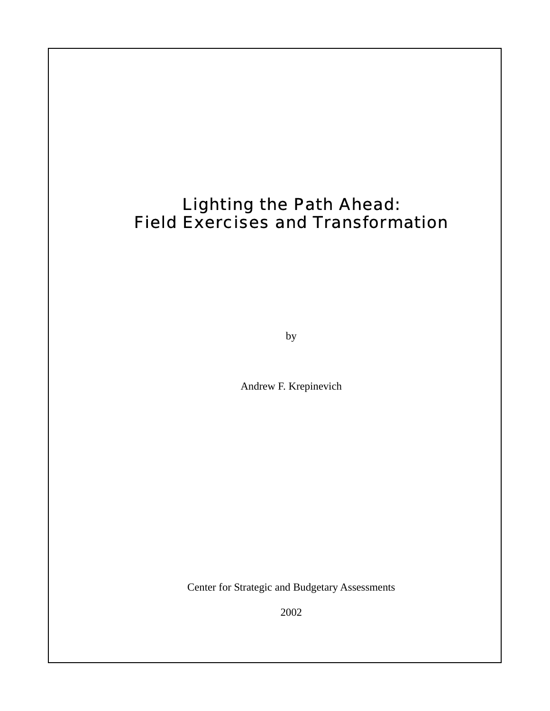### Lighting the Path Ahead: Field Exercises and Transformation

by

Andrew F. Krepinevich

Center for Strategic and Budgetary Assessments

2002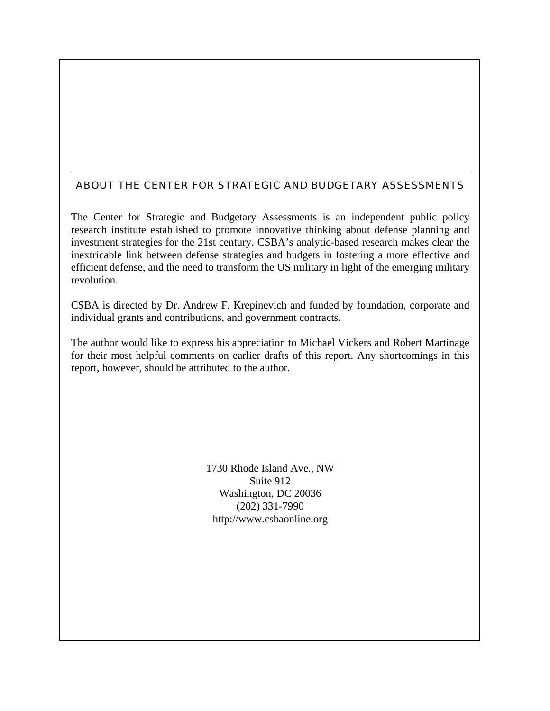#### ABOUT THE CENTER FOR STRATEGIC AND BUDGETARY ASSESSMENTS

The Center for Strategic and Budgetary Assessments is an independent public policy research institute established to promote innovative thinking about defense planning and investment strategies for the 21st century. CSBA's analytic-based research makes clear the inextricable link between defense strategies and budgets in fostering a more effective and efficient defense, and the need to transform the US military in light of the emerging military revolution.

CSBA is directed by Dr. Andrew F. Krepinevich and funded by foundation, corporate and individual grants and contributions, and government contracts.

The author would like to express his appreciation to Michael Vickers and Robert Martinage for their most helpful comments on earlier drafts of this report. Any shortcomings in this report, however, should be attributed to the author.

> 1730 Rhode Island Ave., NW Suite 912 Washington, DC 20036 (202) 331-7990 http://www.csbaonline.org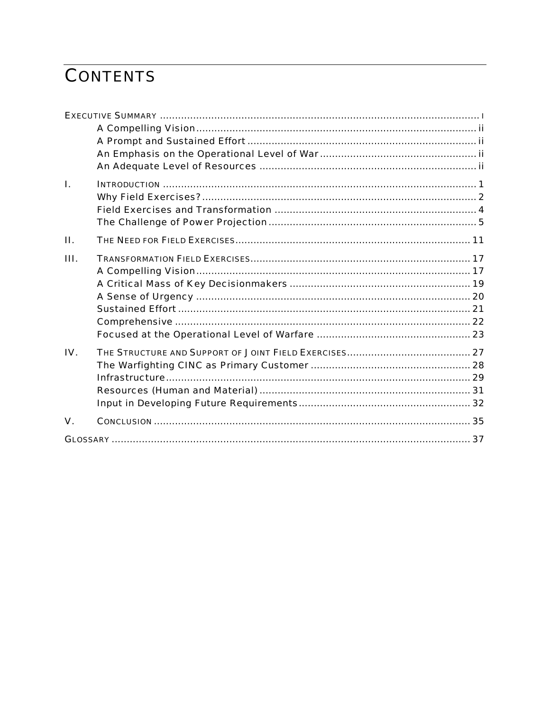# **CONTENTS**

| L                 |  |
|-------------------|--|
|                   |  |
|                   |  |
|                   |  |
| П.                |  |
| III.              |  |
|                   |  |
|                   |  |
|                   |  |
|                   |  |
|                   |  |
|                   |  |
| $\mathbf{IV}_{-}$ |  |
|                   |  |
|                   |  |
|                   |  |
|                   |  |
| $\mathbf{V}$ .    |  |
|                   |  |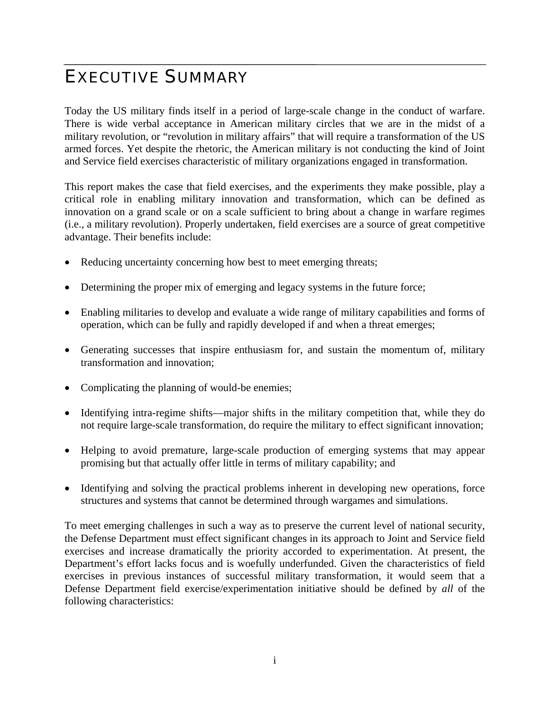### EXECUTIVE SUMMARY

Today the US military finds itself in a period of large-scale change in the conduct of warfare. There is wide verbal acceptance in American military circles that we are in the midst of a military revolution, or "revolution in military affairs" that will require a transformation of the US armed forces. Yet despite the rhetoric, the American military is not conducting the kind of Joint and Service field exercises characteristic of military organizations engaged in transformation.

This report makes the case that field exercises, and the experiments they make possible, play a critical role in enabling military innovation and transformation, which can be defined as innovation on a grand scale or on a scale sufficient to bring about a change in warfare regimes (i.e., a military revolution). Properly undertaken, field exercises are a source of great competitive advantage. Their benefits include:

- Reducing uncertainty concerning how best to meet emerging threats;
- Determining the proper mix of emerging and legacy systems in the future force;
- Enabling militaries to develop and evaluate a wide range of military capabilities and forms of operation, which can be fully and rapidly developed if and when a threat emerges;
- Generating successes that inspire enthusiasm for, and sustain the momentum of, military transformation and innovation;
- Complicating the planning of would-be enemies;
- Identifying intra-regime shifts—major shifts in the military competition that, while they do not require large-scale transformation, do require the military to effect significant innovation;
- Helping to avoid premature, large-scale production of emerging systems that may appear promising but that actually offer little in terms of military capability; and
- Identifying and solving the practical problems inherent in developing new operations, force structures and systems that cannot be determined through wargames and simulations.

To meet emerging challenges in such a way as to preserve the current level of national security, the Defense Department must effect significant changes in its approach to Joint and Service field exercises and increase dramatically the priority accorded to experimentation. At present, the Department's effort lacks focus and is woefully underfunded. Given the characteristics of field exercises in previous instances of successful military transformation, it would seem that a Defense Department field exercise/experimentation initiative should be defined by *all* of the following characteristics: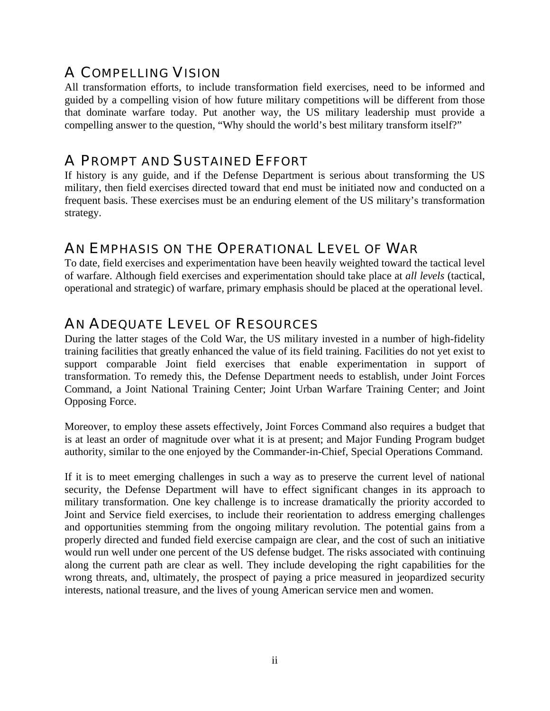### A COMPELLING VISION

All transformation efforts, to include transformation field exercises, need to be informed and guided by a compelling vision of how future military competitions will be different from those that dominate warfare today. Put another way, the US military leadership must provide a compelling answer to the question, "Why should the world's best military transform itself?"

### A PROMPT AND SUSTAINED EFFORT

If history is any guide, and if the Defense Department is serious about transforming the US military, then field exercises directed toward that end must be initiated now and conducted on a frequent basis. These exercises must be an enduring element of the US military's transformation strategy.

### AN EMPHASIS ON THE OPERATIONAL LEVEL OF WAR

To date, field exercises and experimentation have been heavily weighted toward the tactical level of warfare. Although field exercises and experimentation should take place at *all levels* (tactical, operational and strategic) of warfare, primary emphasis should be placed at the operational level.

### AN ADEQUATE LEVEL OF RESOURCES

During the latter stages of the Cold War, the US military invested in a number of high-fidelity training facilities that greatly enhanced the value of its field training. Facilities do not yet exist to support comparable Joint field exercises that enable experimentation in support of transformation. To remedy this, the Defense Department needs to establish, under Joint Forces Command, a Joint National Training Center; Joint Urban Warfare Training Center; and Joint Opposing Force.

Moreover, to employ these assets effectively, Joint Forces Command also requires a budget that is at least an order of magnitude over what it is at present; and Major Funding Program budget authority, similar to the one enjoyed by the Commander-in-Chief, Special Operations Command.

If it is to meet emerging challenges in such a way as to preserve the current level of national security, the Defense Department will have to effect significant changes in its approach to military transformation. One key challenge is to increase dramatically the priority accorded to Joint and Service field exercises, to include their reorientation to address emerging challenges and opportunities stemming from the ongoing military revolution. The potential gains from a properly directed and funded field exercise campaign are clear, and the cost of such an initiative would run well under one percent of the US defense budget. The risks associated with continuing along the current path are clear as well. They include developing the right capabilities for the wrong threats, and, ultimately, the prospect of paying a price measured in jeopardized security interests, national treasure, and the lives of young American service men and women.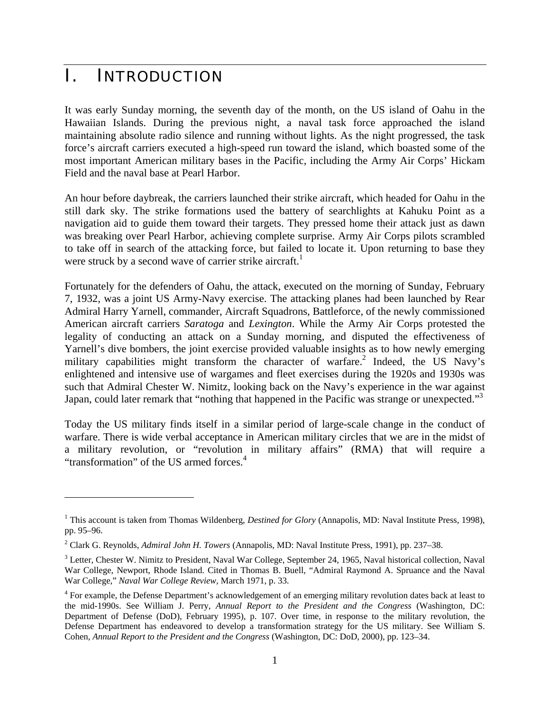### I. INTRODUCTION

 $\overline{a}$ 

It was early Sunday morning, the seventh day of the month, on the US island of Oahu in the Hawaiian Islands. During the previous night, a naval task force approached the island maintaining absolute radio silence and running without lights. As the night progressed, the task force's aircraft carriers executed a high-speed run toward the island, which boasted some of the most important American military bases in the Pacific, including the Army Air Corps' Hickam Field and the naval base at Pearl Harbor.

An hour before daybreak, the carriers launched their strike aircraft, which headed for Oahu in the still dark sky. The strike formations used the battery of searchlights at Kahuku Point as a navigation aid to guide them toward their targets. They pressed home their attack just as dawn was breaking over Pearl Harbor, achieving complete surprise. Army Air Corps pilots scrambled to take off in search of the attacking force, but failed to locate it. Upon returning to base they were struck by a second wave of carrier strike aircraft.<sup>1</sup>

Fortunately for the defenders of Oahu, the attack, executed on the morning of Sunday, February 7, 1932, was a joint US Army-Navy exercise. The attacking planes had been launched by Rear Admiral Harry Yarnell, commander, Aircraft Squadrons, Battleforce, of the newly commissioned American aircraft carriers *Saratoga* and *Lexington*. While the Army Air Corps protested the legality of conducting an attack on a Sunday morning, and disputed the effectiveness of Yarnell's dive bombers, the joint exercise provided valuable insights as to how newly emerging military capabilities might transform the character of warfare.<sup>2</sup> Indeed, the US Navy's enlightened and intensive use of wargames and fleet exercises during the 1920s and 1930s was such that Admiral Chester W. Nimitz, looking back on the Navy's experience in the war against Japan, could later remark that "nothing that happened in the Pacific was strange or unexpected."<sup>3</sup>

Today the US military finds itself in a similar period of large-scale change in the conduct of warfare. There is wide verbal acceptance in American military circles that we are in the midst of a military revolution, or "revolution in military affairs" (RMA) that will require a "transformation" of the US armed forces.4

<sup>&</sup>lt;sup>1</sup> This account is taken from Thomas Wildenberg, *Destined for Glory* (Annapolis, MD: Naval Institute Press, 1998), pp. 95–96.

<sup>2</sup> Clark G. Reynolds, *Admiral John H. Towers* (Annapolis, MD: Naval Institute Press, 1991), pp. 237–38.

 $3$  Letter, Chester W. Nimitz to President, Naval War College, September 24, 1965, Naval historical collection, Naval War College, Newport, Rhode Island. Cited in Thomas B. Buell, "Admiral Raymond A. Spruance and the Naval War College," *Naval War College Review,* March 1971, p. 33.

<sup>&</sup>lt;sup>4</sup> For example, the Defense Department's acknowledgement of an emerging military revolution dates back at least to the mid-1990s. See William J. Perry, *Annual Report to the President and the Congress* (Washington, DC: Department of Defense (DoD), February 1995), p. 107. Over time, in response to the military revolution, the Defense Department has endeavored to develop a transformation strategy for the US military. See William S. Cohen, *Annual Report to the President and the Congress* (Washington, DC: DoD, 2000), pp. 123–34.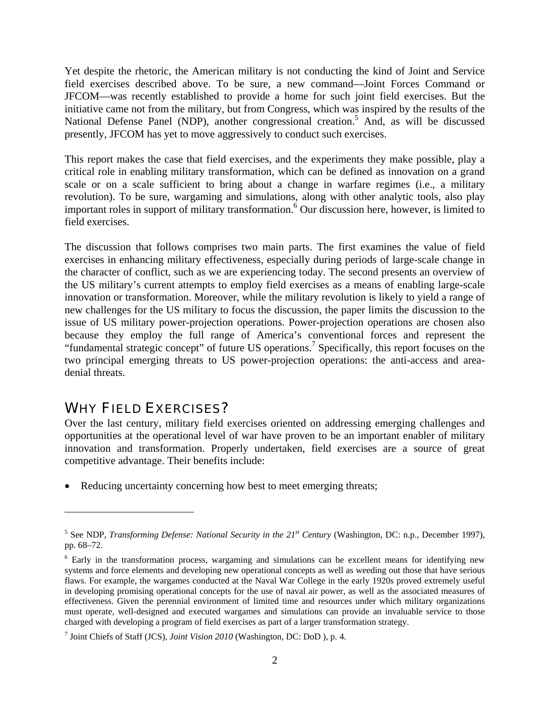Yet despite the rhetoric, the American military is not conducting the kind of Joint and Service field exercises described above. To be sure, a new command—Joint Forces Command or JFCOM—was recently established to provide a home for such joint field exercises. But the initiative came not from the military, but from Congress, which was inspired by the results of the National Defense Panel (NDP), another congressional creation.<sup>5</sup> And, as will be discussed presently, JFCOM has yet to move aggressively to conduct such exercises.

This report makes the case that field exercises, and the experiments they make possible, play a critical role in enabling military transformation, which can be defined as innovation on a grand scale or on a scale sufficient to bring about a change in warfare regimes (i.e., a military revolution). To be sure, wargaming and simulations, along with other analytic tools, also play important roles in support of military transformation.<sup>6</sup> Our discussion here, however, is limited to field exercises.

The discussion that follows comprises two main parts. The first examines the value of field exercises in enhancing military effectiveness, especially during periods of large-scale change in the character of conflict, such as we are experiencing today. The second presents an overview of the US military's current attempts to employ field exercises as a means of enabling large-scale innovation or transformation. Moreover, while the military revolution is likely to yield a range of new challenges for the US military to focus the discussion, the paper limits the discussion to the issue of US military power-projection operations. Power-projection operations are chosen also because they employ the full range of America's conventional forces and represent the "fundamental strategic concept" of future US operations.<sup>7</sup> Specifically, this report focuses on the two principal emerging threats to US power-projection operations: the anti-access and areadenial threats.

### WHY FIELD EXERCISES?

 $\overline{a}$ 

Over the last century, military field exercises oriented on addressing emerging challenges and opportunities at the operational level of war have proven to be an important enabler of military innovation and transformation. Properly undertaken, field exercises are a source of great competitive advantage. Their benefits include:

Reducing uncertainty concerning how best to meet emerging threats;

<sup>5</sup> See NDP, *Transforming Defense: National Security in the 21st Century* (Washington, DC: n.p., December 1997), pp. 68–72.

<sup>&</sup>lt;sup>6</sup> Early in the transformation process, wargaming and simulations can be excellent means for identifying new systems and force elements and developing new operational concepts as well as weeding out those that have serious flaws. For example, the wargames conducted at the Naval War College in the early 1920s proved extremely useful in developing promising operational concepts for the use of naval air power, as well as the associated measures of effectiveness. Given the perennial environment of limited time and resources under which military organizations must operate, well-designed and executed wargames and simulations can provide an invaluable service to those charged with developing a program of field exercises as part of a larger transformation strategy.

<sup>7</sup> Joint Chiefs of Staff (JCS), *Joint Vision 2010* (Washington, DC: DoD ), p. 4.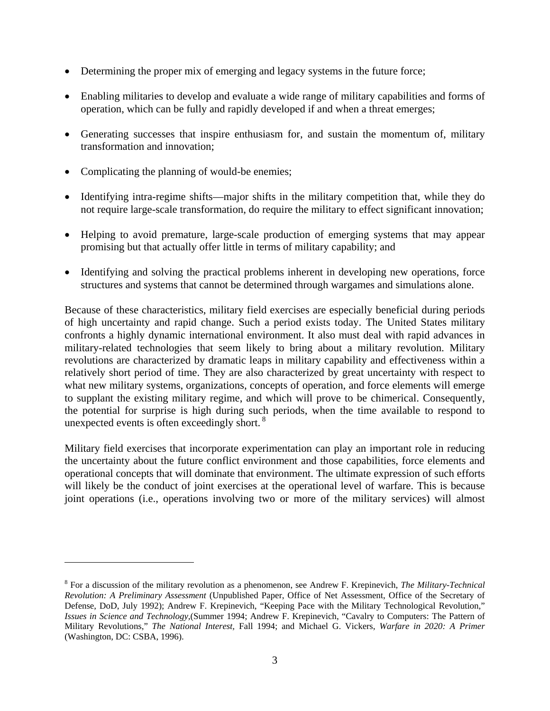- Determining the proper mix of emerging and legacy systems in the future force;
- Enabling militaries to develop and evaluate a wide range of military capabilities and forms of operation, which can be fully and rapidly developed if and when a threat emerges;
- Generating successes that inspire enthusiasm for, and sustain the momentum of, military transformation and innovation;
- Complicating the planning of would-be enemies;

 $\overline{a}$ 

- Identifying intra-regime shifts—major shifts in the military competition that, while they do not require large-scale transformation, do require the military to effect significant innovation;
- Helping to avoid premature, large-scale production of emerging systems that may appear promising but that actually offer little in terms of military capability; and
- Identifying and solving the practical problems inherent in developing new operations, force structures and systems that cannot be determined through wargames and simulations alone.

Because of these characteristics, military field exercises are especially beneficial during periods of high uncertainty and rapid change. Such a period exists today. The United States military confronts a highly dynamic international environment. It also must deal with rapid advances in military-related technologies that seem likely to bring about a military revolution. Military revolutions are characterized by dramatic leaps in military capability and effectiveness within a relatively short period of time. They are also characterized by great uncertainty with respect to what new military systems, organizations, concepts of operation, and force elements will emerge to supplant the existing military regime, and which will prove to be chimerical. Consequently, the potential for surprise is high during such periods, when the time available to respond to unexpected events is often exceedingly short. 8

Military field exercises that incorporate experimentation can play an important role in reducing the uncertainty about the future conflict environment and those capabilities, force elements and operational concepts that will dominate that environment. The ultimate expression of such efforts will likely be the conduct of joint exercises at the operational level of warfare. This is because joint operations (i.e., operations involving two or more of the military services) will almost

<sup>8</sup> For a discussion of the military revolution as a phenomenon, see Andrew F. Krepinevich, *The Military-Technical Revolution: A Preliminary Assessment* (Unpublished Paper, Office of Net Assessment, Office of the Secretary of Defense, DoD, July 1992); Andrew F. Krepinevich, "Keeping Pace with the Military Technological Revolution," *Issues in Science and Technology,*(Summer 1994; Andrew F. Krepinevich, "Cavalry to Computers: The Pattern of Military Revolutions," *The National Interest,* Fall 1994; and Michael G. Vickers, *Warfare in 2020: A Primer* (Washington, DC: CSBA, 1996).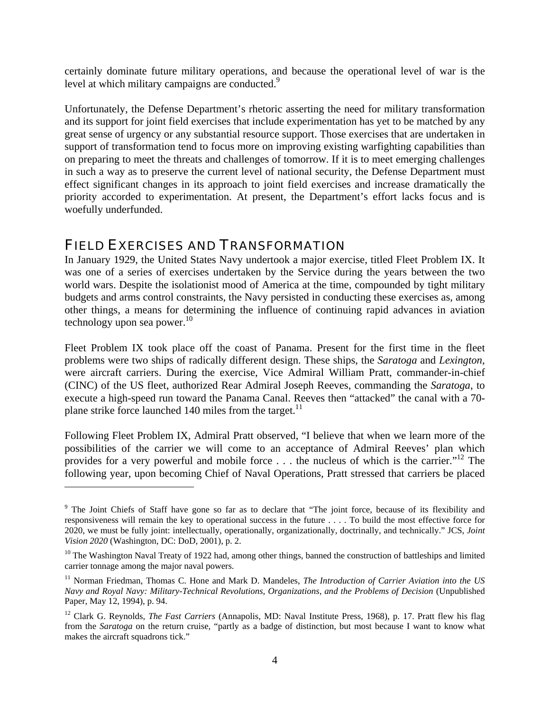certainly dominate future military operations, and because the operational level of war is the level at which military campaigns are conducted.<sup>9</sup>

Unfortunately, the Defense Department's rhetoric asserting the need for military transformation and its support for joint field exercises that include experimentation has yet to be matched by any great sense of urgency or any substantial resource support. Those exercises that are undertaken in support of transformation tend to focus more on improving existing warfighting capabilities than on preparing to meet the threats and challenges of tomorrow. If it is to meet emerging challenges in such a way as to preserve the current level of national security, the Defense Department must effect significant changes in its approach to joint field exercises and increase dramatically the priority accorded to experimentation. At present, the Department's effort lacks focus and is woefully underfunded.

### FIELD EXERCISES AND TRANSFORMATION

 $\overline{a}$ 

In January 1929, the United States Navy undertook a major exercise, titled Fleet Problem IX. It was one of a series of exercises undertaken by the Service during the years between the two world wars. Despite the isolationist mood of America at the time, compounded by tight military budgets and arms control constraints, the Navy persisted in conducting these exercises as, among other things, a means for determining the influence of continuing rapid advances in aviation technology upon sea power. $10$ 

Fleet Problem IX took place off the coast of Panama. Present for the first time in the fleet problems were two ships of radically different design. These ships, the *Saratoga* and *Lexington*, were aircraft carriers. During the exercise, Vice Admiral William Pratt, commander-in-chief (CINC) of the US fleet, authorized Rear Admiral Joseph Reeves, commanding the *Saratoga*, to execute a high-speed run toward the Panama Canal. Reeves then "attacked" the canal with a 70 plane strike force launched 140 miles from the target. $^{11}$ 

Following Fleet Problem IX, Admiral Pratt observed, "I believe that when we learn more of the possibilities of the carrier we will come to an acceptance of Admiral Reeves' plan which provides for a very powerful and mobile force . . . the nucleus of which is the carrier."12 The following year, upon becoming Chief of Naval Operations, Pratt stressed that carriers be placed

<sup>&</sup>lt;sup>9</sup> The Joint Chiefs of Staff have gone so far as to declare that "The joint force, because of its flexibility and responsiveness will remain the key to operational success in the future . . . . To build the most effective force for 2020, we must be fully joint: intellectually, operationally, organizationally, doctrinally, and technically." JCS, *Joint Vision 2020* (Washington, DC: DoD, 2001), p. 2.

 $10$  The Washington Naval Treaty of 1922 had, among other things, banned the construction of battleships and limited carrier tonnage among the major naval powers.

<sup>11</sup> Norman Friedman, Thomas C. Hone and Mark D. Mandeles, *The Introduction of Carrier Aviation into the US Navy and Royal Navy: Military-Technical Revolutions, Organizations, and the Problems of Decision* (Unpublished Paper, May 12, 1994), p. 94.

<sup>&</sup>lt;sup>12</sup> Clark G. Reynolds, *The Fast Carriers* (Annapolis, MD: Naval Institute Press, 1968), p. 17. Pratt flew his flag from the *Saratoga* on the return cruise, "partly as a badge of distinction, but most because I want to know what makes the aircraft squadrons tick."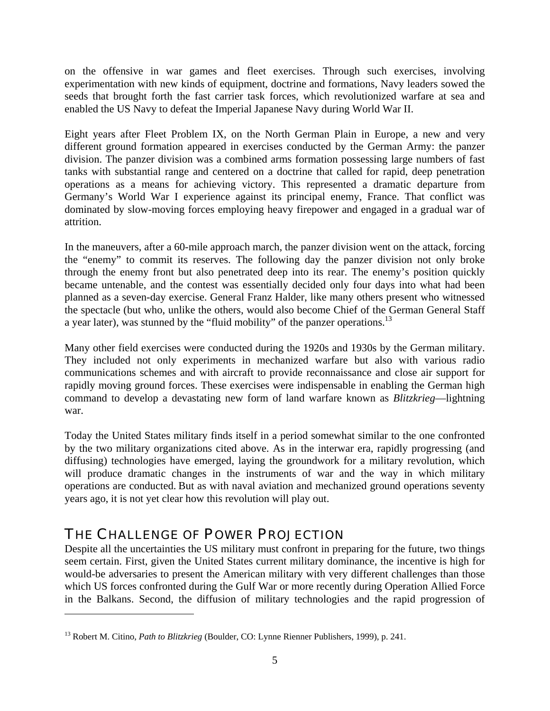on the offensive in war games and fleet exercises. Through such exercises, involving experimentation with new kinds of equipment, doctrine and formations, Navy leaders sowed the seeds that brought forth the fast carrier task forces, which revolutionized warfare at sea and enabled the US Navy to defeat the Imperial Japanese Navy during World War II.

Eight years after Fleet Problem IX, on the North German Plain in Europe, a new and very different ground formation appeared in exercises conducted by the German Army: the panzer division. The panzer division was a combined arms formation possessing large numbers of fast tanks with substantial range and centered on a doctrine that called for rapid, deep penetration operations as a means for achieving victory. This represented a dramatic departure from Germany's World War I experience against its principal enemy, France. That conflict was dominated by slow-moving forces employing heavy firepower and engaged in a gradual war of attrition.

In the maneuvers, after a 60-mile approach march, the panzer division went on the attack, forcing the "enemy" to commit its reserves. The following day the panzer division not only broke through the enemy front but also penetrated deep into its rear. The enemy's position quickly became untenable, and the contest was essentially decided only four days into what had been planned as a seven-day exercise. General Franz Halder, like many others present who witnessed the spectacle (but who, unlike the others, would also become Chief of the German General Staff a year later), was stunned by the "fluid mobility" of the panzer operations.<sup>13</sup>

Many other field exercises were conducted during the 1920s and 1930s by the German military. They included not only experiments in mechanized warfare but also with various radio communications schemes and with aircraft to provide reconnaissance and close air support for rapidly moving ground forces. These exercises were indispensable in enabling the German high command to develop a devastating new form of land warfare known as *Blitzkrieg*—lightning war.

Today the United States military finds itself in a period somewhat similar to the one confronted by the two military organizations cited above. As in the interwar era, rapidly progressing (and diffusing) technologies have emerged, laying the groundwork for a military revolution, which will produce dramatic changes in the instruments of war and the way in which military operations are conducted. But as with naval aviation and mechanized ground operations seventy years ago, it is not yet clear how this revolution will play out.

### THE CHALLENGE OF POWER PROJECTION

 $\overline{a}$ 

Despite all the uncertainties the US military must confront in preparing for the future, two things seem certain. First, given the United States current military dominance, the incentive is high for would-be adversaries to present the American military with very different challenges than those which US forces confronted during the Gulf War or more recently during Operation Allied Force in the Balkans. Second, the diffusion of military technologies and the rapid progression of

<sup>13</sup> Robert M. Citino, *Path to Blitzkrieg* (Boulder, CO: Lynne Rienner Publishers, 1999), p. 241.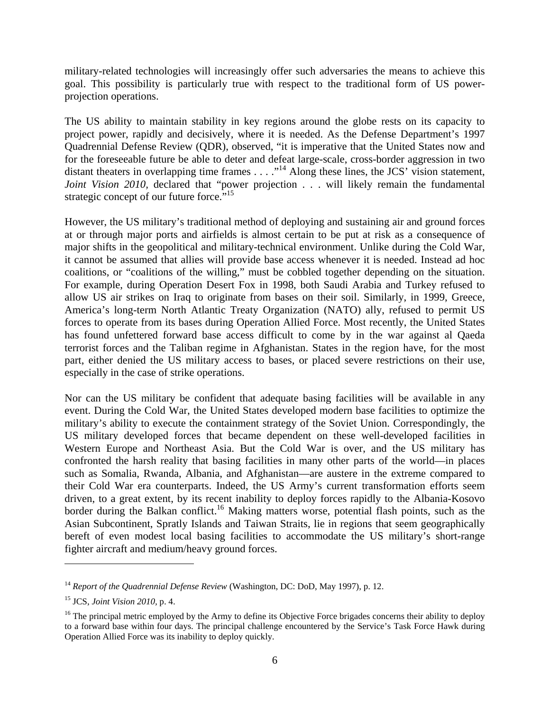military-related technologies will increasingly offer such adversaries the means to achieve this goal. This possibility is particularly true with respect to the traditional form of US powerprojection operations.

The US ability to maintain stability in key regions around the globe rests on its capacity to project power, rapidly and decisively, where it is needed. As the Defense Department's 1997 Quadrennial Defense Review (QDR), observed, "it is imperative that the United States now and for the foreseeable future be able to deter and defeat large-scale, cross-border aggression in two distant theaters in overlapping time frames  $\dots$  ."<sup>14</sup> Along these lines, the JCS' vision statement, *Joint Vision 2010*, declared that "power projection . . . will likely remain the fundamental strategic concept of our future force."<sup>15</sup>

However, the US military's traditional method of deploying and sustaining air and ground forces at or through major ports and airfields is almost certain to be put at risk as a consequence of major shifts in the geopolitical and military-technical environment. Unlike during the Cold War, it cannot be assumed that allies will provide base access whenever it is needed. Instead ad hoc coalitions, or "coalitions of the willing," must be cobbled together depending on the situation. For example, during Operation Desert Fox in 1998, both Saudi Arabia and Turkey refused to allow US air strikes on Iraq to originate from bases on their soil. Similarly, in 1999, Greece, America's long-term North Atlantic Treaty Organization (NATO) ally, refused to permit US forces to operate from its bases during Operation Allied Force. Most recently, the United States has found unfettered forward base access difficult to come by in the war against al Qaeda terrorist forces and the Taliban regime in Afghanistan. States in the region have, for the most part, either denied the US military access to bases, or placed severe restrictions on their use, especially in the case of strike operations.

Nor can the US military be confident that adequate basing facilities will be available in any event. During the Cold War, the United States developed modern base facilities to optimize the military's ability to execute the containment strategy of the Soviet Union. Correspondingly, the US military developed forces that became dependent on these well-developed facilities in Western Europe and Northeast Asia. But the Cold War is over, and the US military has confronted the harsh reality that basing facilities in many other parts of the world—in places such as Somalia, Rwanda, Albania, and Afghanistan—are austere in the extreme compared to their Cold War era counterparts. Indeed, the US Army's current transformation efforts seem driven, to a great extent, by its recent inability to deploy forces rapidly to the Albania-Kosovo border during the Balkan conflict.<sup>16</sup> Making matters worse, potential flash points, such as the Asian Subcontinent, Spratly Islands and Taiwan Straits, lie in regions that seem geographically bereft of even modest local basing facilities to accommodate the US military's short-range fighter aircraft and medium/heavy ground forces.

<u>.</u>

<sup>&</sup>lt;sup>14</sup> Report of the Quadrennial Defense Review (Washington, DC: DoD, May 1997), p. 12.

<sup>15</sup> JCS, *Joint Vision 2010,* p. 4.

<sup>&</sup>lt;sup>16</sup> The principal metric employed by the Army to define its Objective Force brigades concerns their ability to deploy to a forward base within four days. The principal challenge encountered by the Service's Task Force Hawk during Operation Allied Force was its inability to deploy quickly.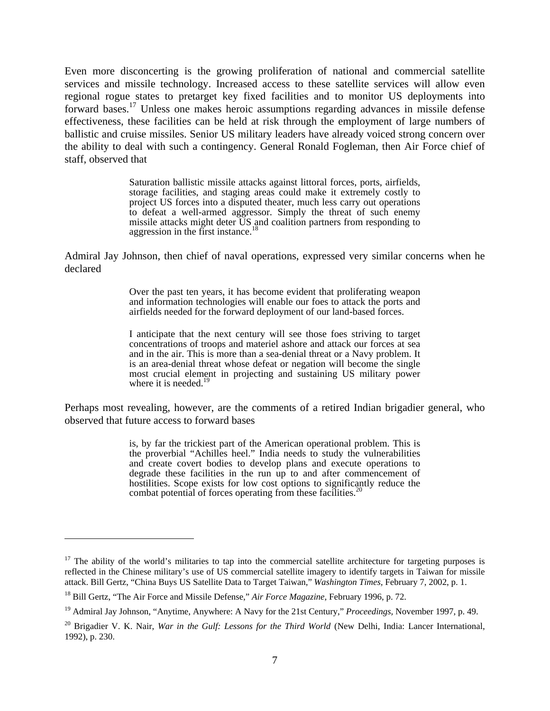Even more disconcerting is the growing proliferation of national and commercial satellite services and missile technology. Increased access to these satellite services will allow even regional rogue states to pretarget key fixed facilities and to monitor US deployments into forward bases.17 Unless one makes heroic assumptions regarding advances in missile defense effectiveness, these facilities can be held at risk through the employment of large numbers of ballistic and cruise missiles. Senior US military leaders have already voiced strong concern over the ability to deal with such a contingency. General Ronald Fogleman, then Air Force chief of staff, observed that

> Saturation ballistic missile attacks against littoral forces, ports, airfields, storage facilities, and staging areas could make it extremely costly to project US forces into a disputed theater, much less carry out operations to defeat a well-armed aggressor. Simply the threat of such enemy missile attacks might deter US and coalition partners from responding to aggression in the first instance.<sup>18</sup>

Admiral Jay Johnson, then chief of naval operations, expressed very similar concerns when he declared

> Over the past ten years, it has become evident that proliferating weapon and information technologies will enable our foes to attack the ports and airfields needed for the forward deployment of our land-based forces.

> I anticipate that the next century will see those foes striving to target concentrations of troops and materiel ashore and attack our forces at sea and in the air. This is more than a sea-denial threat or a Navy problem. It is an area-denial threat whose defeat or negation will become the single most crucial element in projecting and sustaining US military power where it is needed.<sup>19</sup>

Perhaps most revealing, however, are the comments of a retired Indian brigadier general, who observed that future access to forward bases

> is, by far the trickiest part of the American operational problem. This is the proverbial "Achilles heel." India needs to study the vulnerabilities and create covert bodies to develop plans and execute operations to degrade these facilities in the run up to and after commencement of hostilities. Scope exists for low cost options to significantly reduce the combat potential of forces operating from these facilities.<sup>2</sup>

 $17$  The ability of the world's militaries to tap into the commercial satellite architecture for targeting purposes is reflected in the Chinese military's use of US commercial satellite imagery to identify targets in Taiwan for missile attack. Bill Gertz, "China Buys US Satellite Data to Target Taiwan," *Washington Times,* February 7, 2002, p. 1.

<sup>18</sup> Bill Gertz, "The Air Force and Missile Defense," *Air Force Magazine,* February 1996, p. 72.

<sup>19</sup> Admiral Jay Johnson, "Anytime, Anywhere: A Navy for the 21st Century," *Proceedings,* November 1997, p. 49.

<sup>&</sup>lt;sup>20</sup> Brigadier V. K. Nair, *War in the Gulf: Lessons for the Third World* (New Delhi, India: Lancer International, 1992), p. 230.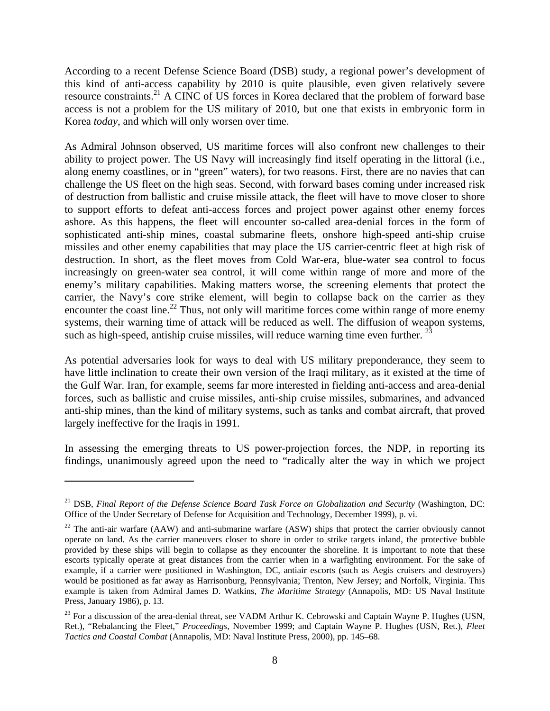According to a recent Defense Science Board (DSB) study, a regional power's development of this kind of anti-access capability by 2010 is quite plausible, even given relatively severe resource constraints.<sup>21</sup> A CINC of US forces in Korea declared that the problem of forward base access is not a problem for the US military of 2010, but one that exists in embryonic form in Korea *today*, and which will only worsen over time.

As Admiral Johnson observed, US maritime forces will also confront new challenges to their ability to project power. The US Navy will increasingly find itself operating in the littoral (i.e., along enemy coastlines, or in "green" waters), for two reasons. First, there are no navies that can challenge the US fleet on the high seas. Second, with forward bases coming under increased risk of destruction from ballistic and cruise missile attack, the fleet will have to move closer to shore to support efforts to defeat anti-access forces and project power against other enemy forces ashore. As this happens, the fleet will encounter so-called area-denial forces in the form of sophisticated anti-ship mines, coastal submarine fleets, onshore high-speed anti-ship cruise missiles and other enemy capabilities that may place the US carrier-centric fleet at high risk of destruction. In short, as the fleet moves from Cold War-era, blue-water sea control to focus increasingly on green-water sea control, it will come within range of more and more of the enemy's military capabilities. Making matters worse, the screening elements that protect the carrier, the Navy's core strike element, will begin to collapse back on the carrier as they encounter the coast line.<sup>22</sup> Thus, not only will maritime forces come within range of more enemy systems, their warning time of attack will be reduced as well. The diffusion of weapon systems, such as high-speed, antiship cruise missiles, will reduce warning time even further.  $^{23}$ 

As potential adversaries look for ways to deal with US military preponderance, they seem to have little inclination to create their own version of the Iraqi military, as it existed at the time of the Gulf War. Iran, for example, seems far more interested in fielding anti-access and area-denial forces, such as ballistic and cruise missiles, anti-ship cruise missiles, submarines, and advanced anti-ship mines, than the kind of military systems, such as tanks and combat aircraft, that proved largely ineffective for the Iraqis in 1991.

In assessing the emerging threats to US power-projection forces, the NDP, in reporting its findings, unanimously agreed upon the need to "radically alter the way in which we project

<sup>&</sup>lt;sup>21</sup> DSB, *Final Report of the Defense Science Board Task Force on Globalization and Security* (Washington, DC: Office of the Under Secretary of Defense for Acquisition and Technology, December 1999), p. vi.

 $22$  The anti-air warfare (AAW) and anti-submarine warfare (ASW) ships that protect the carrier obviously cannot operate on land. As the carrier maneuvers closer to shore in order to strike targets inland, the protective bubble provided by these ships will begin to collapse as they encounter the shoreline. It is important to note that these escorts typically operate at great distances from the carrier when in a warfighting environment. For the sake of example, if a carrier were positioned in Washington, DC, antiair escorts (such as Aegis cruisers and destroyers) would be positioned as far away as Harrisonburg, Pennsylvania; Trenton, New Jersey; and Norfolk, Virginia. This example is taken from Admiral James D. Watkins, *The Maritime Strategy* (Annapolis, MD: US Naval Institute Press, January 1986), p. 13.

<sup>&</sup>lt;sup>23</sup> For a discussion of the area-denial threat, see VADM Arthur K. Cebrowski and Captain Wayne P. Hughes (USN, Ret.), "Rebalancing the Fleet," *Proceedings,* November 1999; and Captain Wayne P. Hughes (USN, Ret.), *Fleet Tactics and Coastal Combat* (Annapolis, MD: Naval Institute Press, 2000), pp. 145–68.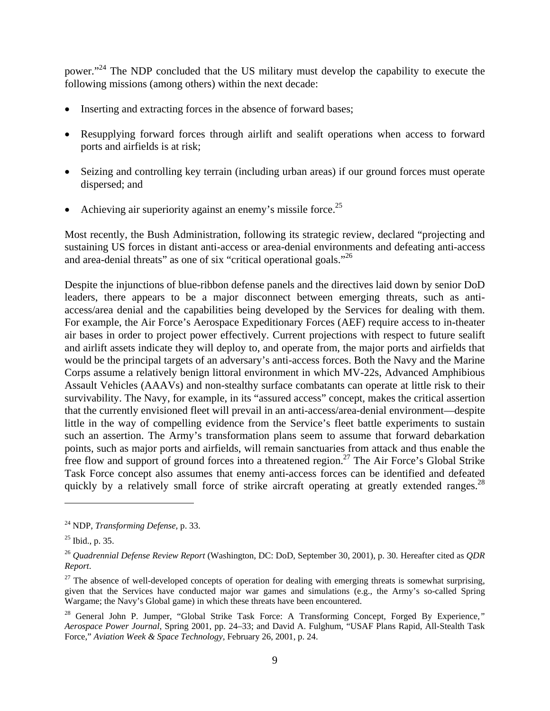power."24 The NDP concluded that the US military must develop the capability to execute the following missions (among others) within the next decade:

- Inserting and extracting forces in the absence of forward bases;
- Resupplying forward forces through airlift and sealift operations when access to forward ports and airfields is at risk;
- Seizing and controlling key terrain (including urban areas) if our ground forces must operate dispersed; and
- Achieving air superiority against an enemy's missile force.<sup>25</sup>

Most recently, the Bush Administration, following its strategic review, declared "projecting and sustaining US forces in distant anti-access or area-denial environments and defeating anti-access and area-denial threats" as one of six "critical operational goals."<sup>26</sup>

Despite the injunctions of blue-ribbon defense panels and the directives laid down by senior DoD leaders, there appears to be a major disconnect between emerging threats, such as antiaccess/area denial and the capabilities being developed by the Services for dealing with them. For example, the Air Force's Aerospace Expeditionary Forces (AEF) require access to in-theater air bases in order to project power effectively. Current projections with respect to future sealift and airlift assets indicate they will deploy to, and operate from, the major ports and airfields that would be the principal targets of an adversary's anti-access forces. Both the Navy and the Marine Corps assume a relatively benign littoral environment in which MV-22s, Advanced Amphibious Assault Vehicles (AAAVs) and non-stealthy surface combatants can operate at little risk to their survivability. The Navy, for example, in its "assured access" concept, makes the critical assertion that the currently envisioned fleet will prevail in an anti-access/area-denial environment—despite little in the way of compelling evidence from the Service's fleet battle experiments to sustain such an assertion. The Army's transformation plans seem to assume that forward debarkation points, such as major ports and airfields, will remain sanctuaries from attack and thus enable the free flow and support of ground forces into a threatened region.<sup>27</sup> The Air Force's Global Strike Task Force concept also assumes that enemy anti-access forces can be identified and defeated quickly by a relatively small force of strike aircraft operating at greatly extended ranges.<sup>28</sup>

<sup>24</sup> NDP, *Transforming Defense,* p. 33.

 $^{25}$  Ibid., p. 35.

<sup>26</sup> *Quadrennial Defense Review Report* (Washington, DC: DoD, September 30, 2001), p. 30. Hereafter cited as *QDR Report*.

 $27$  The absence of well-developed concepts of operation for dealing with emerging threats is somewhat surprising, given that the Services have conducted major war games and simulations (e.g., the Army's so-called Spring Wargame; the Navy's Global game) in which these threats have been encountered.

<sup>28</sup> General John P. Jumper, "Global Strike Task Force: A Transforming Concept, Forged By Experience*," Aerospace Power Journal*, Spring 2001, pp. 24–33; and David A. Fulghum, "USAF Plans Rapid, All-Stealth Task Force," *Aviation Week & Space Technology,* February 26, 2001, p. 24.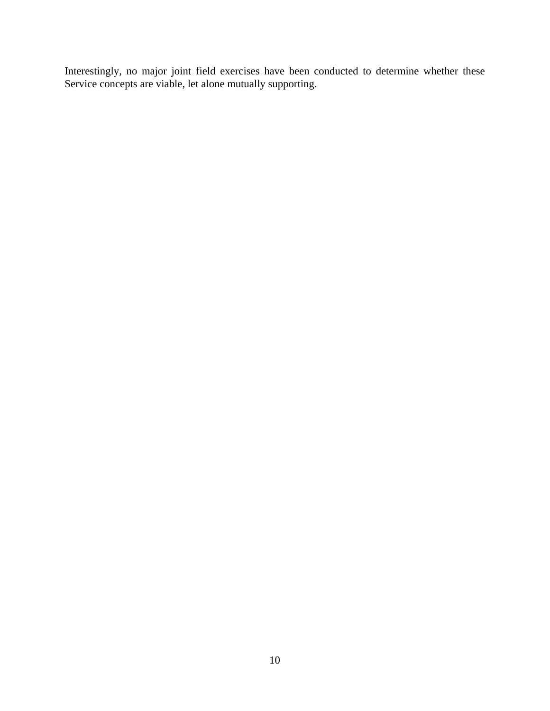Interestingly, no major joint field exercises have been conducted to determine whether these Service concepts are viable, let alone mutually supporting.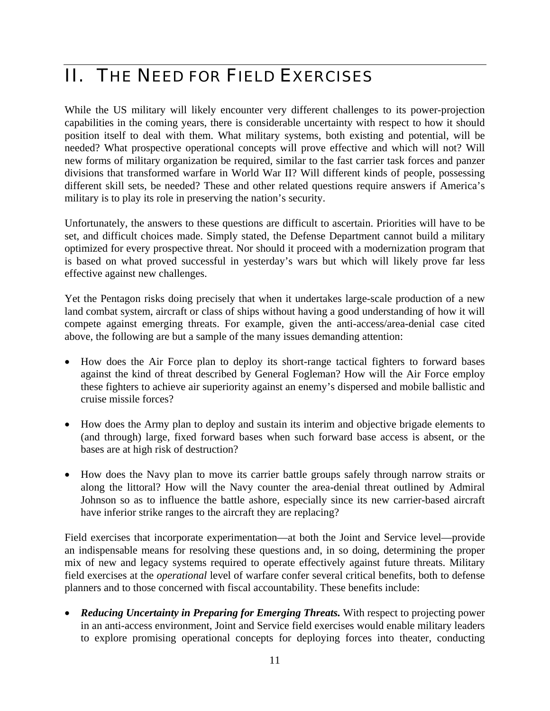## II. THE NEED FOR FIELD EXERCISES

While the US military will likely encounter very different challenges to its power-projection capabilities in the coming years, there is considerable uncertainty with respect to how it should position itself to deal with them. What military systems, both existing and potential, will be needed? What prospective operational concepts will prove effective and which will not? Will new forms of military organization be required, similar to the fast carrier task forces and panzer divisions that transformed warfare in World War II? Will different kinds of people, possessing different skill sets, be needed? These and other related questions require answers if America's military is to play its role in preserving the nation's security.

Unfortunately, the answers to these questions are difficult to ascertain. Priorities will have to be set, and difficult choices made. Simply stated, the Defense Department cannot build a military optimized for every prospective threat. Nor should it proceed with a modernization program that is based on what proved successful in yesterday's wars but which will likely prove far less effective against new challenges.

Yet the Pentagon risks doing precisely that when it undertakes large-scale production of a new land combat system, aircraft or class of ships without having a good understanding of how it will compete against emerging threats. For example, given the anti-access/area-denial case cited above, the following are but a sample of the many issues demanding attention:

- How does the Air Force plan to deploy its short-range tactical fighters to forward bases against the kind of threat described by General Fogleman? How will the Air Force employ these fighters to achieve air superiority against an enemy's dispersed and mobile ballistic and cruise missile forces?
- How does the Army plan to deploy and sustain its interim and objective brigade elements to (and through) large, fixed forward bases when such forward base access is absent, or the bases are at high risk of destruction?
- How does the Navy plan to move its carrier battle groups safely through narrow straits or along the littoral? How will the Navy counter the area-denial threat outlined by Admiral Johnson so as to influence the battle ashore, especially since its new carrier-based aircraft have inferior strike ranges to the aircraft they are replacing?

Field exercises that incorporate experimentation—at both the Joint and Service level—provide an indispensable means for resolving these questions and, in so doing, determining the proper mix of new and legacy systems required to operate effectively against future threats. Military field exercises at the *operational* level of warfare confer several critical benefits, both to defense planners and to those concerned with fiscal accountability. These benefits include:

• *Reducing Uncertainty in Preparing for Emerging Threats.* With respect to projecting power in an anti-access environment, Joint and Service field exercises would enable military leaders to explore promising operational concepts for deploying forces into theater, conducting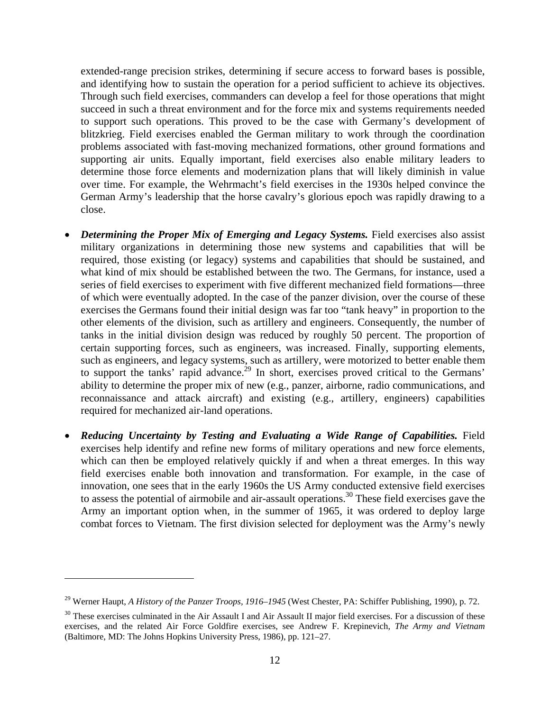extended-range precision strikes, determining if secure access to forward bases is possible, and identifying how to sustain the operation for a period sufficient to achieve its objectives. Through such field exercises, commanders can develop a feel for those operations that might succeed in such a threat environment and for the force mix and systems requirements needed to support such operations. This proved to be the case with Germany's development of blitzkrieg. Field exercises enabled the German military to work through the coordination problems associated with fast-moving mechanized formations, other ground formations and supporting air units. Equally important, field exercises also enable military leaders to determine those force elements and modernization plans that will likely diminish in value over time. For example, the Wehrmacht's field exercises in the 1930s helped convince the German Army's leadership that the horse cavalry's glorious epoch was rapidly drawing to a close.

- *Determining the Proper Mix of Emerging and Legacy Systems.* Field exercises also assist military organizations in determining those new systems and capabilities that will be required, those existing (or legacy) systems and capabilities that should be sustained, and what kind of mix should be established between the two. The Germans, for instance, used a series of field exercises to experiment with five different mechanized field formations—three of which were eventually adopted. In the case of the panzer division, over the course of these exercises the Germans found their initial design was far too "tank heavy" in proportion to the other elements of the division, such as artillery and engineers. Consequently, the number of tanks in the initial division design was reduced by roughly 50 percent. The proportion of certain supporting forces, such as engineers, was increased. Finally, supporting elements, such as engineers, and legacy systems, such as artillery, were motorized to better enable them to support the tanks' rapid advance.<sup>29</sup> In short, exercises proved critical to the Germans' ability to determine the proper mix of new (e.g., panzer, airborne, radio communications, and reconnaissance and attack aircraft) and existing (e.g., artillery, engineers) capabilities required for mechanized air-land operations.
- *Reducing Uncertainty by Testing and Evaluating a Wide Range of Capabilities.* Field exercises help identify and refine new forms of military operations and new force elements, which can then be employed relatively quickly if and when a threat emerges. In this way field exercises enable both innovation and transformation. For example, in the case of innovation, one sees that in the early 1960s the US Army conducted extensive field exercises to assess the potential of airmobile and air-assault operations.<sup>30</sup> These field exercises gave the Army an important option when, in the summer of 1965, it was ordered to deploy large combat forces to Vietnam. The first division selected for deployment was the Army's newly

<sup>29</sup> Werner Haupt, *A History of the Panzer Troops, 1916–1945* (West Chester, PA: Schiffer Publishing, 1990), p. 72.

 $30$  These exercises culminated in the Air Assault I and Air Assault II major field exercises. For a discussion of these exercises, and the related Air Force Goldfire exercises, see Andrew F. Krepinevich, *The Army and Vietnam* (Baltimore, MD: The Johns Hopkins University Press, 1986), pp. 121–27.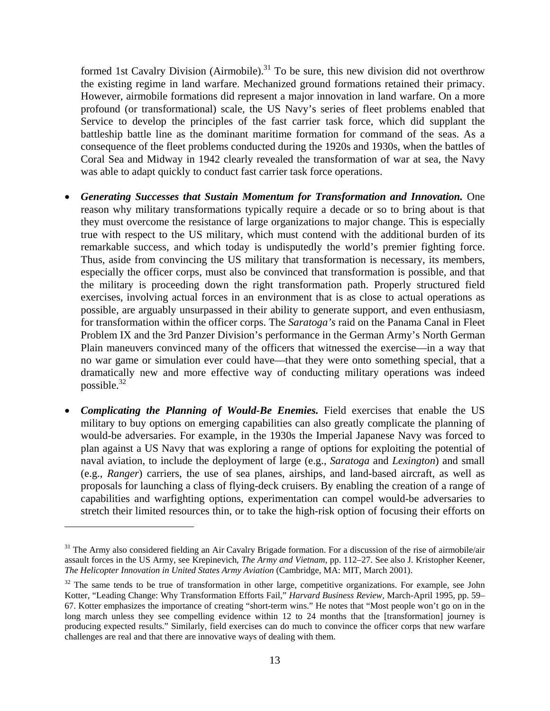formed 1st Cavalry Division (Airmobile).<sup>31</sup> To be sure, this new division did not overthrow the existing regime in land warfare. Mechanized ground formations retained their primacy. However, airmobile formations did represent a major innovation in land warfare. On a more profound (or transformational) scale, the US Navy's series of fleet problems enabled that Service to develop the principles of the fast carrier task force, which did supplant the battleship battle line as the dominant maritime formation for command of the seas. As a consequence of the fleet problems conducted during the 1920s and 1930s, when the battles of Coral Sea and Midway in 1942 clearly revealed the transformation of war at sea, the Navy was able to adapt quickly to conduct fast carrier task force operations.

- *Generating Successes that Sustain Momentum for Transformation and Innovation.* One reason why military transformations typically require a decade or so to bring about is that they must overcome the resistance of large organizations to major change. This is especially true with respect to the US military, which must contend with the additional burden of its remarkable success, and which today is undisputedly the world's premier fighting force. Thus, aside from convincing the US military that transformation is necessary, its members, especially the officer corps, must also be convinced that transformation is possible, and that the military is proceeding down the right transformation path. Properly structured field exercises, involving actual forces in an environment that is as close to actual operations as possible, are arguably unsurpassed in their ability to generate support, and even enthusiasm, for transformation within the officer corps. The *Saratoga's* raid on the Panama Canal in Fleet Problem IX and the 3rd Panzer Division's performance in the German Army's North German Plain maneuvers convinced many of the officers that witnessed the exercise—in a way that no war game or simulation ever could have—that they were onto something special, that a dramatically new and more effective way of conducting military operations was indeed possible. $32$
- *Complicating the Planning of Would-Be Enemies.* Field exercises that enable the US military to buy options on emerging capabilities can also greatly complicate the planning of would-be adversaries. For example, in the 1930s the Imperial Japanese Navy was forced to plan against a US Navy that was exploring a range of options for exploiting the potential of naval aviation, to include the deployment of large (e.g., *Saratoga* and *Lexington*) and small (e.g., *Ranger*) carriers, the use of sea planes, airships, and land-based aircraft, as well as proposals for launching a class of flying-deck cruisers. By enabling the creation of a range of capabilities and warfighting options, experimentation can compel would-be adversaries to stretch their limited resources thin, or to take the high-risk option of focusing their efforts on

<sup>&</sup>lt;sup>31</sup> The Army also considered fielding an Air Cavalry Brigade formation. For a discussion of the rise of airmobile/air assault forces in the US Army, see Krepinevich, *The Army and Vietnam,* pp. 112–27. See also J. Kristopher Keener, *The Helicopter Innovation in United States Army Aviation* (Cambridge, MA: MIT, March 2001).

 $32$  The same tends to be true of transformation in other large, competitive organizations. For example, see John Kotter, "Leading Change: Why Transformation Efforts Fail," *Harvard Business Review,* March-April 1995, pp. 59– 67. Kotter emphasizes the importance of creating "short-term wins." He notes that "Most people won't go on in the long march unless they see compelling evidence within 12 to 24 months that the [transformation] journey is producing expected results." Similarly, field exercises can do much to convince the officer corps that new warfare challenges are real and that there are innovative ways of dealing with them.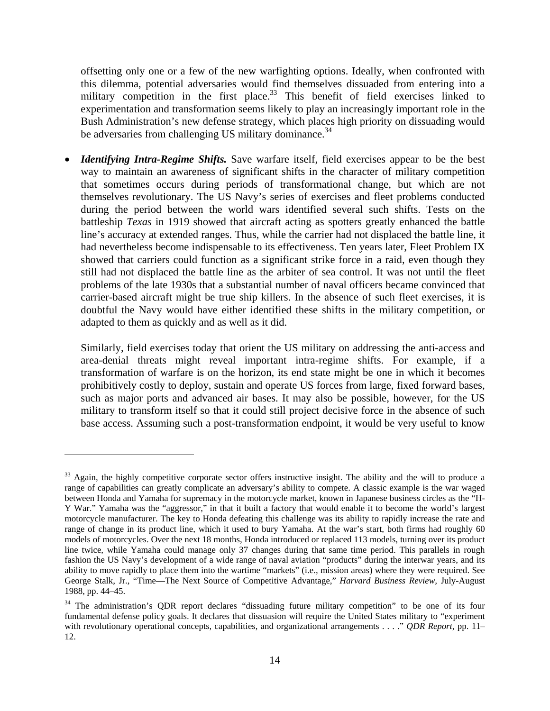offsetting only one or a few of the new warfighting options. Ideally, when confronted with this dilemma, potential adversaries would find themselves dissuaded from entering into a military competition in the first place.<sup>33</sup> This benefit of field exercises linked to experimentation and transformation seems likely to play an increasingly important role in the Bush Administration's new defense strategy, which places high priority on dissuading would be adversaries from challenging US military dominance.<sup>34</sup>

*Identifying Intra-Regime Shifts.* Save warfare itself, field exercises appear to be the best way to maintain an awareness of significant shifts in the character of military competition that sometimes occurs during periods of transformational change, but which are not themselves revolutionary. The US Navy's series of exercises and fleet problems conducted during the period between the world wars identified several such shifts. Tests on the battleship *Texas* in 1919 showed that aircraft acting as spotters greatly enhanced the battle line's accuracy at extended ranges. Thus, while the carrier had not displaced the battle line, it had nevertheless become indispensable to its effectiveness. Ten years later, Fleet Problem IX showed that carriers could function as a significant strike force in a raid, even though they still had not displaced the battle line as the arbiter of sea control. It was not until the fleet problems of the late 1930s that a substantial number of naval officers became convinced that carrier-based aircraft might be true ship killers. In the absence of such fleet exercises, it is doubtful the Navy would have either identified these shifts in the military competition, or adapted to them as quickly and as well as it did.

Similarly, field exercises today that orient the US military on addressing the anti-access and area-denial threats might reveal important intra-regime shifts. For example, if a transformation of warfare is on the horizon, its end state might be one in which it becomes prohibitively costly to deploy, sustain and operate US forces from large, fixed forward bases, such as major ports and advanced air bases. It may also be possible, however, for the US military to transform itself so that it could still project decisive force in the absence of such base access. Assuming such a post-transformation endpoint, it would be very useful to know

 $33$  Again, the highly competitive corporate sector offers instructive insight. The ability and the will to produce a range of capabilities can greatly complicate an adversary's ability to compete. A classic example is the war waged between Honda and Yamaha for supremacy in the motorcycle market, known in Japanese business circles as the "H-Y War." Yamaha was the "aggressor," in that it built a factory that would enable it to become the world's largest motorcycle manufacturer. The key to Honda defeating this challenge was its ability to rapidly increase the rate and range of change in its product line, which it used to bury Yamaha. At the war's start, both firms had roughly 60 models of motorcycles. Over the next 18 months, Honda introduced or replaced 113 models, turning over its product line twice, while Yamaha could manage only 37 changes during that same time period. This parallels in rough fashion the US Navy's development of a wide range of naval aviation "products" during the interwar years, and its ability to move rapidly to place them into the wartime "markets" (i.e., mission areas) where they were required. See George Stalk, Jr., "Time—The Next Source of Competitive Advantage," *Harvard Business Review,* July-August 1988, pp. 44–45.

<sup>&</sup>lt;sup>34</sup> The administration's QDR report declares "dissuading future military competition" to be one of its four fundamental defense policy goals. It declares that dissuasion will require the United States military to "experiment with revolutionary operational concepts, capabilities, and organizational arrangements . . . ." *QDR Report*, pp. 11– 12.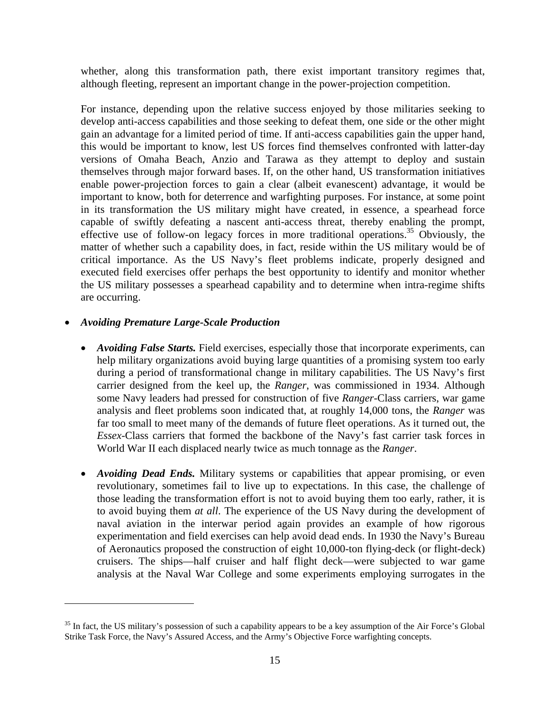whether, along this transformation path, there exist important transitory regimes that, although fleeting, represent an important change in the power-projection competition.

For instance, depending upon the relative success enjoyed by those militaries seeking to develop anti-access capabilities and those seeking to defeat them, one side or the other might gain an advantage for a limited period of time. If anti-access capabilities gain the upper hand, this would be important to know, lest US forces find themselves confronted with latter-day versions of Omaha Beach, Anzio and Tarawa as they attempt to deploy and sustain themselves through major forward bases. If, on the other hand, US transformation initiatives enable power-projection forces to gain a clear (albeit evanescent) advantage, it would be important to know, both for deterrence and warfighting purposes. For instance, at some point in its transformation the US military might have created, in essence, a spearhead force capable of swiftly defeating a nascent anti-access threat, thereby enabling the prompt, effective use of follow-on legacy forces in more traditional operations.<sup>35</sup> Obviously, the matter of whether such a capability does, in fact, reside within the US military would be of critical importance. As the US Navy's fleet problems indicate, properly designed and executed field exercises offer perhaps the best opportunity to identify and monitor whether the US military possesses a spearhead capability and to determine when intra-regime shifts are occurring.

#### • *Avoiding Premature Large-Scale Production*

1

- *Avoiding False Starts.* Field exercises, especially those that incorporate experiments, can help military organizations avoid buying large quantities of a promising system too early during a period of transformational change in military capabilities. The US Navy's first carrier designed from the keel up, the *Ranger*, was commissioned in 1934. Although some Navy leaders had pressed for construction of five *Ranger*-Class carriers, war game analysis and fleet problems soon indicated that, at roughly 14,000 tons, the *Ranger* was far too small to meet many of the demands of future fleet operations. As it turned out, the *Essex*-Class carriers that formed the backbone of the Navy's fast carrier task forces in World War II each displaced nearly twice as much tonnage as the *Ranger*.
- *Avoiding Dead Ends.* Military systems or capabilities that appear promising, or even revolutionary, sometimes fail to live up to expectations. In this case, the challenge of those leading the transformation effort is not to avoid buying them too early, rather, it is to avoid buying them *at all*. The experience of the US Navy during the development of naval aviation in the interwar period again provides an example of how rigorous experimentation and field exercises can help avoid dead ends. In 1930 the Navy's Bureau of Aeronautics proposed the construction of eight 10,000-ton flying-deck (or flight-deck) cruisers. The ships—half cruiser and half flight deck—were subjected to war game analysis at the Naval War College and some experiments employing surrogates in the

<sup>&</sup>lt;sup>35</sup> In fact, the US military's possession of such a capability appears to be a key assumption of the Air Force's Global Strike Task Force, the Navy's Assured Access, and the Army's Objective Force warfighting concepts.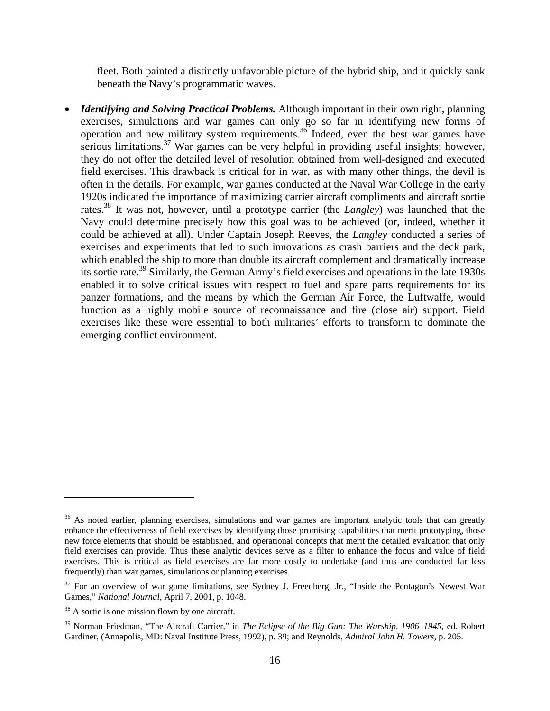fleet. Both painted a distinctly unfavorable picture of the hybrid ship, and it quickly sank beneath the Navy's programmatic waves.

• *Identifying and Solving Practical Problems*. Although important in their own right, planning exercises, simulations and war games can only go so far in identifying new forms of operation and new military system requirements.<sup>36</sup> Indeed, even the best war games have serious limitations.<sup>37</sup> War games can be very helpful in providing useful insights; however, they do not offer the detailed level of resolution obtained from well-designed and executed field exercises. This drawback is critical for in war, as with many other things, the devil is often in the details. For example, war games conducted at the Naval War College in the early 1920s indicated the importance of maximizing carrier aircraft compliments and aircraft sortie rates.38 It was not, however, until a prototype carrier (the *Langley*) was launched that the Navy could determine precisely how this goal was to be achieved (or, indeed, whether it could be achieved at all). Under Captain Joseph Reeves, the *Langley* conducted a series of exercises and experiments that led to such innovations as crash barriers and the deck park, which enabled the ship to more than double its aircraft complement and dramatically increase its sortie rate.<sup>39</sup> Similarly, the German Army's field exercises and operations in the late 1930s enabled it to solve critical issues with respect to fuel and spare parts requirements for its panzer formations, and the means by which the German Air Force, the Luftwaffe, would function as a highly mobile source of reconnaissance and fire (close air) support. Field exercises like these were essential to both militaries' efforts to transform to dominate the emerging conflict environment.

 $36$  As noted earlier, planning exercises, simulations and war games are important analytic tools that can greatly enhance the effectiveness of field exercises by identifying those promising capabilities that merit prototyping, those new force elements that should be established, and operational concepts that merit the detailed evaluation that only field exercises can provide. Thus these analytic devices serve as a filter to enhance the focus and value of field exercises. This is critical as field exercises are far more costly to undertake (and thus are conducted far less frequently) than war games, simulations or planning exercises.

<sup>&</sup>lt;sup>37</sup> For an overview of war game limitations, see Sydney J. Freedberg, Jr., "Inside the Pentagon's Newest War Games," *National Journal,* April 7, 2001, p. 1048.

<sup>&</sup>lt;sup>38</sup> A sortie is one mission flown by one aircraft.

<sup>39</sup> Norman Friedman, "The Aircraft Carrier," in *The Eclipse of the Big Gun: The Warship, 1906–1945,* ed. Robert Gardiner, (Annapolis, MD: Naval Institute Press, 1992), p. 39; and Reynolds, *Admiral John H. Towers*, p. 205.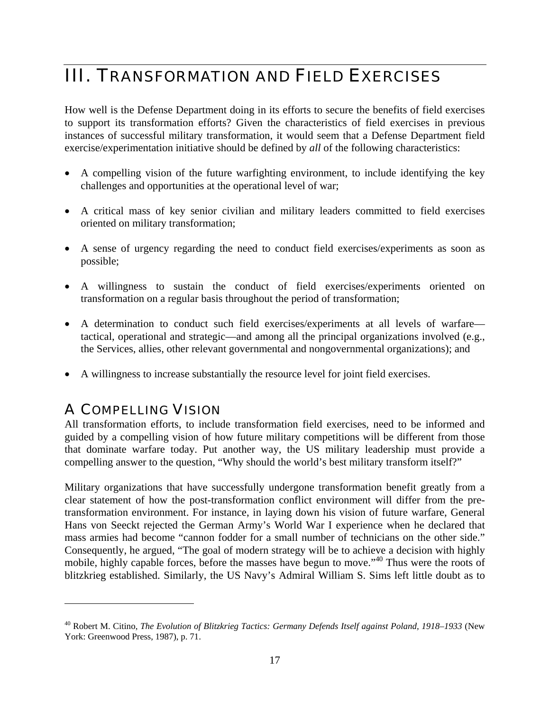### III. TRANSFORMATION AND FIELD EXERCISES

How well is the Defense Department doing in its efforts to secure the benefits of field exercises to support its transformation efforts? Given the characteristics of field exercises in previous instances of successful military transformation, it would seem that a Defense Department field exercise/experimentation initiative should be defined by *all* of the following characteristics:

- A compelling vision of the future warfighting environment, to include identifying the key challenges and opportunities at the operational level of war;
- A critical mass of key senior civilian and military leaders committed to field exercises oriented on military transformation;
- A sense of urgency regarding the need to conduct field exercises/experiments as soon as possible;
- A willingness to sustain the conduct of field exercises/experiments oriented on transformation on a regular basis throughout the period of transformation;
- A determination to conduct such field exercises/experiments at all levels of warfare tactical, operational and strategic—and among all the principal organizations involved (e.g., the Services, allies, other relevant governmental and nongovernmental organizations); and
- A willingness to increase substantially the resource level for joint field exercises.

### A COMPELLING VISION

1

All transformation efforts, to include transformation field exercises, need to be informed and guided by a compelling vision of how future military competitions will be different from those that dominate warfare today. Put another way, the US military leadership must provide a compelling answer to the question, "Why should the world's best military transform itself?"

Military organizations that have successfully undergone transformation benefit greatly from a clear statement of how the post-transformation conflict environment will differ from the pretransformation environment. For instance, in laying down his vision of future warfare, General Hans von Seeckt rejected the German Army's World War I experience when he declared that mass armies had become "cannon fodder for a small number of technicians on the other side." Consequently, he argued, "The goal of modern strategy will be to achieve a decision with highly mobile, highly capable forces, before the masses have begun to move."<sup>40</sup> Thus were the roots of blitzkrieg established. Similarly, the US Navy's Admiral William S. Sims left little doubt as to

<sup>40</sup> Robert M. Citino, *The Evolution of Blitzkrieg Tactics: Germany Defends Itself against Poland, 1918–1933* (New York: Greenwood Press, 1987), p. 71.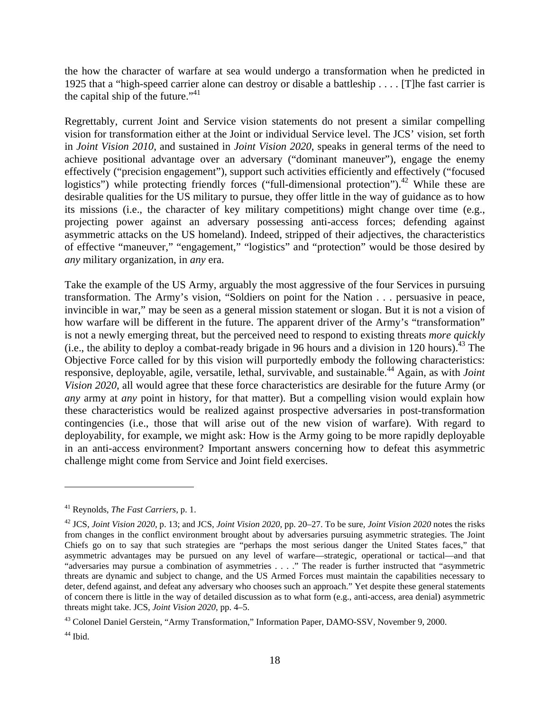the how the character of warfare at sea would undergo a transformation when he predicted in 1925 that a "high-speed carrier alone can destroy or disable a battleship . . . . [T]he fast carrier is the capital ship of the future." $41$ 

Regrettably, current Joint and Service vision statements do not present a similar compelling vision for transformation either at the Joint or individual Service level. The JCS' vision, set forth in *Joint Vision 2010*, and sustained in *Joint Vision 2020*, speaks in general terms of the need to achieve positional advantage over an adversary ("dominant maneuver"), engage the enemy effectively ("precision engagement"), support such activities efficiently and effectively ("focused logistics") while protecting friendly forces ("full-dimensional protection").<sup>42</sup> While these are desirable qualities for the US military to pursue, they offer little in the way of guidance as to how its missions (i.e., the character of key military competitions) might change over time (e.g., projecting power against an adversary possessing anti-access forces; defending against asymmetric attacks on the US homeland). Indeed, stripped of their adjectives, the characteristics of effective "maneuver," "engagement," "logistics" and "protection" would be those desired by *any* military organization, in *any* era.

Take the example of the US Army, arguably the most aggressive of the four Services in pursuing transformation. The Army's vision, "Soldiers on point for the Nation . . . persuasive in peace, invincible in war," may be seen as a general mission statement or slogan. But it is not a vision of how warfare will be different in the future. The apparent driver of the Army's "transformation" is not a newly emerging threat, but the perceived need to respond to existing threats *more quickly* (i.e., the ability to deploy a combat-ready brigade in 96 hours and a division in 120 hours). <sup>43</sup> The Objective Force called for by this vision will purportedly embody the following characteristics: responsive, deployable, agile, versatile, lethal, survivable, and sustainable.44 Again, as with *Joint Vision 2020*, all would agree that these force characteristics are desirable for the future Army (or *any* army at *any* point in history, for that matter). But a compelling vision would explain how these characteristics would be realized against prospective adversaries in post-transformation contingencies (i.e., those that will arise out of the new vision of warfare). With regard to deployability, for example, we might ask: How is the Army going to be more rapidly deployable in an anti-access environment? Important answers concerning how to defeat this asymmetric challenge might come from Service and Joint field exercises.

<u>.</u>

<sup>41</sup> Reynolds, *The Fast Carriers*, p. 1.

<sup>42</sup> JCS, *Joint Vision 2020*, p. 13; and JCS, *Joint Vision 2020*, pp. 20–27. To be sure*, Joint Vision 2020* notes the risks from changes in the conflict environment brought about by adversaries pursuing asymmetric strategies. The Joint Chiefs go on to say that such strategies are "perhaps the most serious danger the United States faces," that asymmetric advantages may be pursued on any level of warfare—strategic, operational or tactical—and that "adversaries may pursue a combination of asymmetries . . . ." The reader is further instructed that "asymmetric threats are dynamic and subject to change, and the US Armed Forces must maintain the capabilities necessary to deter, defend against, and defeat any adversary who chooses such an approach." Yet despite these general statements of concern there is little in the way of detailed discussion as to what form (e.g., anti-access, area denial) asymmetric threats might take. JCS, *Joint Vision 2020*, pp. 4–5.

<sup>43</sup> Colonel Daniel Gerstein, "Army Transformation," Information Paper, DAMO-SSV, November 9, 2000.

 $44$  Ibid.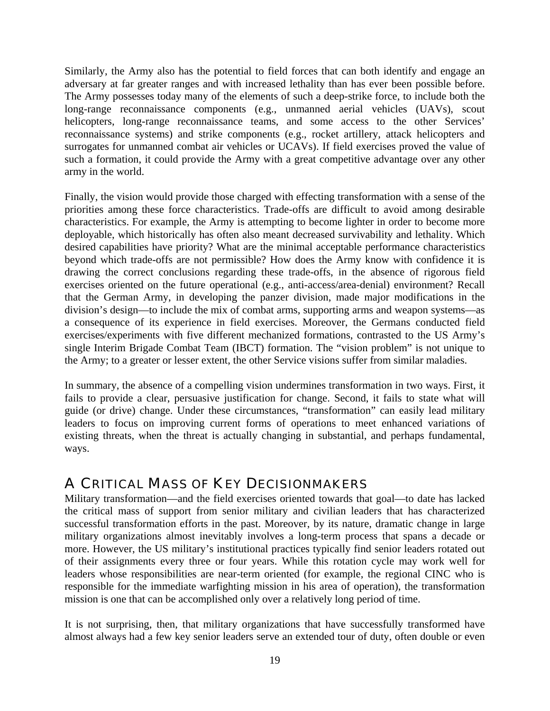Similarly, the Army also has the potential to field forces that can both identify and engage an adversary at far greater ranges and with increased lethality than has ever been possible before. The Army possesses today many of the elements of such a deep-strike force, to include both the long-range reconnaissance components (e.g., unmanned aerial vehicles (UAVs), scout helicopters, long-range reconnaissance teams, and some access to the other Services' reconnaissance systems) and strike components (e.g., rocket artillery, attack helicopters and surrogates for unmanned combat air vehicles or UCAVs). If field exercises proved the value of such a formation, it could provide the Army with a great competitive advantage over any other army in the world.

Finally, the vision would provide those charged with effecting transformation with a sense of the priorities among these force characteristics. Trade-offs are difficult to avoid among desirable characteristics. For example, the Army is attempting to become lighter in order to become more deployable, which historically has often also meant decreased survivability and lethality. Which desired capabilities have priority? What are the minimal acceptable performance characteristics beyond which trade-offs are not permissible? How does the Army know with confidence it is drawing the correct conclusions regarding these trade-offs, in the absence of rigorous field exercises oriented on the future operational (e.g., anti-access/area-denial) environment? Recall that the German Army, in developing the panzer division, made major modifications in the division's design—to include the mix of combat arms, supporting arms and weapon systems—as a consequence of its experience in field exercises. Moreover, the Germans conducted field exercises/experiments with five different mechanized formations, contrasted to the US Army's single Interim Brigade Combat Team (IBCT) formation. The "vision problem" is not unique to the Army; to a greater or lesser extent, the other Service visions suffer from similar maladies.

In summary, the absence of a compelling vision undermines transformation in two ways. First, it fails to provide a clear, persuasive justification for change. Second, it fails to state what will guide (or drive) change. Under these circumstances, "transformation" can easily lead military leaders to focus on improving current forms of operations to meet enhanced variations of existing threats, when the threat is actually changing in substantial, and perhaps fundamental, ways.

### A CRITICAL MASS OF KEY DECISIONMAKERS

Military transformation—and the field exercises oriented towards that goal—to date has lacked the critical mass of support from senior military and civilian leaders that has characterized successful transformation efforts in the past. Moreover, by its nature, dramatic change in large military organizations almost inevitably involves a long-term process that spans a decade or more. However, the US military's institutional practices typically find senior leaders rotated out of their assignments every three or four years. While this rotation cycle may work well for leaders whose responsibilities are near-term oriented (for example, the regional CINC who is responsible for the immediate warfighting mission in his area of operation), the transformation mission is one that can be accomplished only over a relatively long period of time.

It is not surprising, then, that military organizations that have successfully transformed have almost always had a few key senior leaders serve an extended tour of duty, often double or even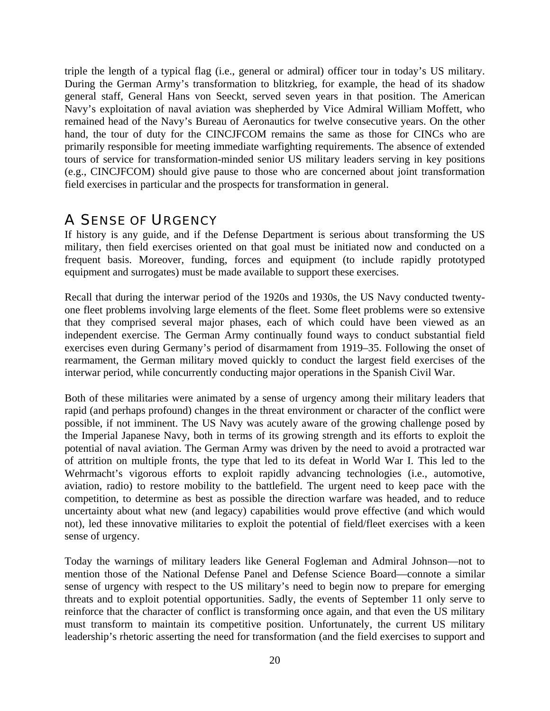triple the length of a typical flag (i.e., general or admiral) officer tour in today's US military. During the German Army's transformation to blitzkrieg, for example, the head of its shadow general staff, General Hans von Seeckt, served seven years in that position. The American Navy's exploitation of naval aviation was shepherded by Vice Admiral William Moffett, who remained head of the Navy's Bureau of Aeronautics for twelve consecutive years. On the other hand, the tour of duty for the CINCJFCOM remains the same as those for CINCs who are primarily responsible for meeting immediate warfighting requirements. The absence of extended tours of service for transformation-minded senior US military leaders serving in key positions (e.g., CINCJFCOM) should give pause to those who are concerned about joint transformation field exercises in particular and the prospects for transformation in general.

### A SENSE OF URGENCY

If history is any guide, and if the Defense Department is serious about transforming the US military, then field exercises oriented on that goal must be initiated now and conducted on a frequent basis. Moreover, funding, forces and equipment (to include rapidly prototyped equipment and surrogates) must be made available to support these exercises.

Recall that during the interwar period of the 1920s and 1930s, the US Navy conducted twentyone fleet problems involving large elements of the fleet. Some fleet problems were so extensive that they comprised several major phases, each of which could have been viewed as an independent exercise. The German Army continually found ways to conduct substantial field exercises even during Germany's period of disarmament from 1919–35. Following the onset of rearmament, the German military moved quickly to conduct the largest field exercises of the interwar period, while concurrently conducting major operations in the Spanish Civil War.

Both of these militaries were animated by a sense of urgency among their military leaders that rapid (and perhaps profound) changes in the threat environment or character of the conflict were possible, if not imminent. The US Navy was acutely aware of the growing challenge posed by the Imperial Japanese Navy, both in terms of its growing strength and its efforts to exploit the potential of naval aviation. The German Army was driven by the need to avoid a protracted war of attrition on multiple fronts, the type that led to its defeat in World War I. This led to the Wehrmacht's vigorous efforts to exploit rapidly advancing technologies (i.e., automotive, aviation, radio) to restore mobility to the battlefield. The urgent need to keep pace with the competition, to determine as best as possible the direction warfare was headed, and to reduce uncertainty about what new (and legacy) capabilities would prove effective (and which would not), led these innovative militaries to exploit the potential of field/fleet exercises with a keen sense of urgency.

Today the warnings of military leaders like General Fogleman and Admiral Johnson—not to mention those of the National Defense Panel and Defense Science Board—connote a similar sense of urgency with respect to the US military's need to begin now to prepare for emerging threats and to exploit potential opportunities. Sadly, the events of September 11 only serve to reinforce that the character of conflict is transforming once again, and that even the US military must transform to maintain its competitive position. Unfortunately, the current US military leadership's rhetoric asserting the need for transformation (and the field exercises to support and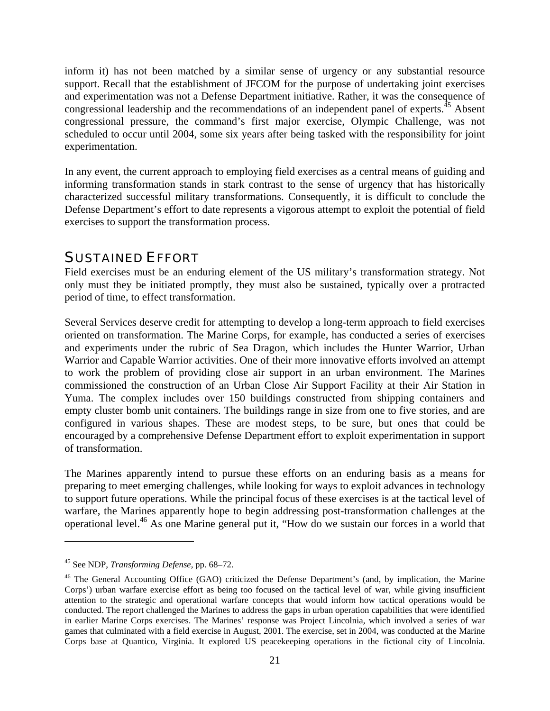inform it) has not been matched by a similar sense of urgency or any substantial resource support. Recall that the establishment of JFCOM for the purpose of undertaking joint exercises and experimentation was not a Defense Department initiative. Rather, it was the consequence of congressional leadership and the recommendations of an independent panel of experts.<sup>45</sup> Absent congressional pressure, the command's first major exercise, Olympic Challenge, was not scheduled to occur until 2004, some six years after being tasked with the responsibility for joint experimentation.

In any event, the current approach to employing field exercises as a central means of guiding and informing transformation stands in stark contrast to the sense of urgency that has historically characterized successful military transformations. Consequently, it is difficult to conclude the Defense Department's effort to date represents a vigorous attempt to exploit the potential of field exercises to support the transformation process.

#### SUSTAINED EFFORT

Field exercises must be an enduring element of the US military's transformation strategy. Not only must they be initiated promptly, they must also be sustained, typically over a protracted period of time, to effect transformation.

Several Services deserve credit for attempting to develop a long-term approach to field exercises oriented on transformation. The Marine Corps, for example, has conducted a series of exercises and experiments under the rubric of Sea Dragon, which includes the Hunter Warrior, Urban Warrior and Capable Warrior activities. One of their more innovative efforts involved an attempt to work the problem of providing close air support in an urban environment. The Marines commissioned the construction of an Urban Close Air Support Facility at their Air Station in Yuma. The complex includes over 150 buildings constructed from shipping containers and empty cluster bomb unit containers. The buildings range in size from one to five stories, and are configured in various shapes. These are modest steps, to be sure, but ones that could be encouraged by a comprehensive Defense Department effort to exploit experimentation in support of transformation.

The Marines apparently intend to pursue these efforts on an enduring basis as a means for preparing to meet emerging challenges, while looking for ways to exploit advances in technology to support future operations. While the principal focus of these exercises is at the tactical level of warfare, the Marines apparently hope to begin addressing post-transformation challenges at the operational level.46 As one Marine general put it, "How do we sustain our forces in a world that

<sup>45</sup> See NDP, *Transforming Defense*, pp. 68–72.

<sup>&</sup>lt;sup>46</sup> The General Accounting Office (GAO) criticized the Defense Department's (and, by implication, the Marine Corps') urban warfare exercise effort as being too focused on the tactical level of war, while giving insufficient attention to the strategic and operational warfare concepts that would inform how tactical operations would be conducted. The report challenged the Marines to address the gaps in urban operation capabilities that were identified in earlier Marine Corps exercises. The Marines' response was Project Lincolnia, which involved a series of war games that culminated with a field exercise in August, 2001. The exercise, set in 2004, was conducted at the Marine Corps base at Quantico, Virginia. It explored US peacekeeping operations in the fictional city of Lincolnia.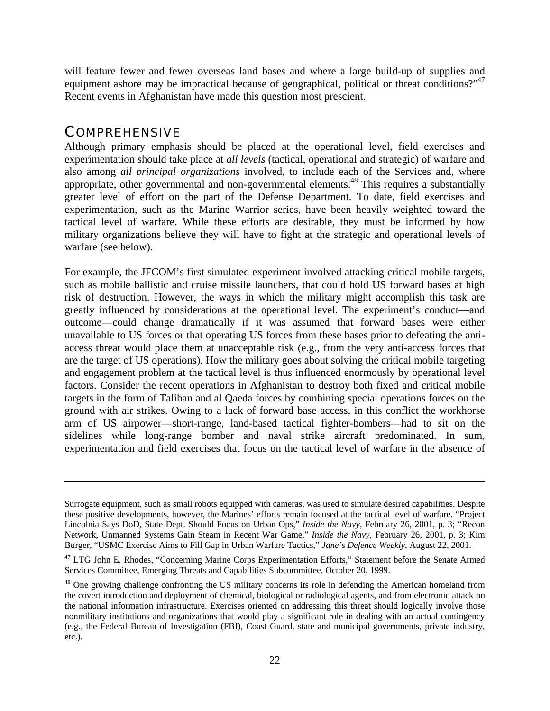will feature fewer and fewer overseas land bases and where a large build-up of supplies and equipment ashore may be impractical because of geographical, political or threat conditions?"<sup>47</sup> Recent events in Afghanistan have made this question most prescient.

#### **COMPREHENSIVE**

 $\overline{a}$ 

Although primary emphasis should be placed at the operational level, field exercises and experimentation should take place at *all levels* (tactical, operational and strategic) of warfare and also among *all principal organizations* involved, to include each of the Services and, where appropriate, other governmental and non-governmental elements.<sup>48</sup> This requires a substantially greater level of effort on the part of the Defense Department. To date, field exercises and experimentation, such as the Marine Warrior series, have been heavily weighted toward the tactical level of warfare. While these efforts are desirable, they must be informed by how military organizations believe they will have to fight at the strategic and operational levels of warfare (see below).

For example, the JFCOM's first simulated experiment involved attacking critical mobile targets, such as mobile ballistic and cruise missile launchers, that could hold US forward bases at high risk of destruction. However, the ways in which the military might accomplish this task are greatly influenced by considerations at the operational level. The experiment's conduct—and outcome—could change dramatically if it was assumed that forward bases were either unavailable to US forces or that operating US forces from these bases prior to defeating the antiaccess threat would place them at unacceptable risk (e.g., from the very anti-access forces that are the target of US operations). How the military goes about solving the critical mobile targeting and engagement problem at the tactical level is thus influenced enormously by operational level factors. Consider the recent operations in Afghanistan to destroy both fixed and critical mobile targets in the form of Taliban and al Qaeda forces by combining special operations forces on the ground with air strikes. Owing to a lack of forward base access, in this conflict the workhorse arm of US airpower—short-range, land-based tactical fighter-bombers—had to sit on the sidelines while long-range bomber and naval strike aircraft predominated. In sum, experimentation and field exercises that focus on the tactical level of warfare in the absence of

Surrogate equipment, such as small robots equipped with cameras, was used to simulate desired capabilities. Despite these positive developments, however, the Marines' efforts remain focused at the tactical level of warfare. "Project Lincolnia Says DoD, State Dept. Should Focus on Urban Ops," *Inside the Navy*, February 26, 2001, p. 3; "Recon Network, Unmanned Systems Gain Steam in Recent War Game," *Inside the Navy*, February 26, 2001, p. 3; Kim Burger, "USMC Exercise Aims to Fill Gap in Urban Warfare Tactics," *Jane's Defence Weekly*, August 22, 2001.

<sup>&</sup>lt;sup>47</sup> LTG John E. Rhodes, "Concerning Marine Corps Experimentation Efforts," Statement before the Senate Armed Services Committee, Emerging Threats and Capabilities Subcommittee, October 20, 1999.

<sup>&</sup>lt;sup>48</sup> One growing challenge confronting the US military concerns its role in defending the American homeland from the covert introduction and deployment of chemical, biological or radiological agents, and from electronic attack on the national information infrastructure. Exercises oriented on addressing this threat should logically involve those nonmilitary institutions and organizations that would play a significant role in dealing with an actual contingency (e.g., the Federal Bureau of Investigation (FBI), Coast Guard, state and municipal governments, private industry, etc.).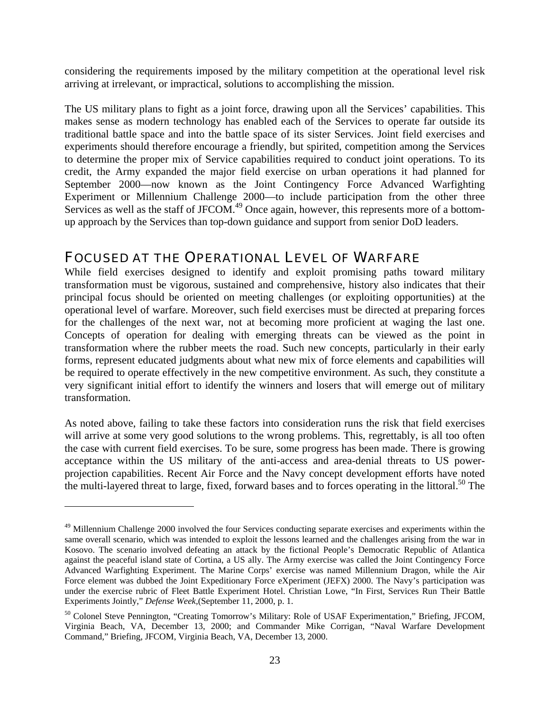considering the requirements imposed by the military competition at the operational level risk arriving at irrelevant, or impractical, solutions to accomplishing the mission.

The US military plans to fight as a joint force, drawing upon all the Services' capabilities. This makes sense as modern technology has enabled each of the Services to operate far outside its traditional battle space and into the battle space of its sister Services. Joint field exercises and experiments should therefore encourage a friendly, but spirited, competition among the Services to determine the proper mix of Service capabilities required to conduct joint operations. To its credit, the Army expanded the major field exercise on urban operations it had planned for September 2000—now known as the Joint Contingency Force Advanced Warfighting Experiment or Millennium Challenge 2000—to include participation from the other three Services as well as the staff of JFCOM.<sup>49</sup> Once again, however, this represents more of a bottomup approach by the Services than top-down guidance and support from senior DoD leaders.

#### FOCUSED AT THE OPERATIONAL LEVEL OF WARFARE

While field exercises designed to identify and exploit promising paths toward military transformation must be vigorous, sustained and comprehensive, history also indicates that their principal focus should be oriented on meeting challenges (or exploiting opportunities) at the operational level of warfare. Moreover, such field exercises must be directed at preparing forces for the challenges of the next war, not at becoming more proficient at waging the last one. Concepts of operation for dealing with emerging threats can be viewed as the point in transformation where the rubber meets the road. Such new concepts, particularly in their early forms, represent educated judgments about what new mix of force elements and capabilities will be required to operate effectively in the new competitive environment. As such, they constitute a very significant initial effort to identify the winners and losers that will emerge out of military transformation.

As noted above, failing to take these factors into consideration runs the risk that field exercises will arrive at some very good solutions to the wrong problems. This, regrettably, is all too often the case with current field exercises. To be sure, some progress has been made. There is growing acceptance within the US military of the anti-access and area-denial threats to US powerprojection capabilities. Recent Air Force and the Navy concept development efforts have noted the multi-layered threat to large, fixed, forward bases and to forces operating in the littoral.<sup>50</sup> The

<sup>&</sup>lt;sup>49</sup> Millennium Challenge 2000 involved the four Services conducting separate exercises and experiments within the same overall scenario, which was intended to exploit the lessons learned and the challenges arising from the war in Kosovo. The scenario involved defeating an attack by the fictional People's Democratic Republic of Atlantica against the peaceful island state of Cortina, a US ally. The Army exercise was called the Joint Contingency Force Advanced Warfighting Experiment. The Marine Corps' exercise was named Millennium Dragon, while the Air Force element was dubbed the Joint Expeditionary Force eXperiment (JEFX) 2000. The Navy's participation was under the exercise rubric of Fleet Battle Experiment Hotel. Christian Lowe, "In First, Services Run Their Battle Experiments Jointly," *Defense Week,*(September 11, 2000, p. 1.

<sup>50</sup> Colonel Steve Pennington, "Creating Tomorrow's Military: Role of USAF Experimentation," Briefing, JFCOM, Virginia Beach, VA, December 13, 2000; and Commander Mike Corrigan, "Naval Warfare Development Command," Briefing, JFCOM, Virginia Beach, VA, December 13, 2000.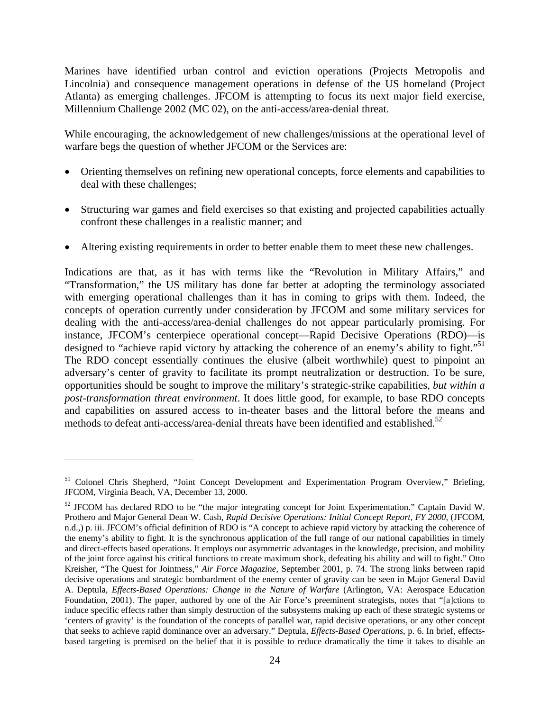Marines have identified urban control and eviction operations (Projects Metropolis and Lincolnia) and consequence management operations in defense of the US homeland (Project Atlanta) as emerging challenges. JFCOM is attempting to focus its next major field exercise, Millennium Challenge 2002 (MC 02), on the anti-access/area-denial threat.

While encouraging, the acknowledgement of new challenges/missions at the operational level of warfare begs the question of whether JFCOM or the Services are:

- Orienting themselves on refining new operational concepts, force elements and capabilities to deal with these challenges;
- Structuring war games and field exercises so that existing and projected capabilities actually confront these challenges in a realistic manner; and
- Altering existing requirements in order to better enable them to meet these new challenges.

Indications are that, as it has with terms like the "Revolution in Military Affairs," and "Transformation," the US military has done far better at adopting the terminology associated with emerging operational challenges than it has in coming to grips with them. Indeed, the concepts of operation currently under consideration by JFCOM and some military services for dealing with the anti-access/area-denial challenges do not appear particularly promising. For instance, JFCOM's centerpiece operational concept—Rapid Decisive Operations (RDO)—is designed to "achieve rapid victory by attacking the coherence of an enemy's ability to fight."<sup>51</sup> The RDO concept essentially continues the elusive (albeit worthwhile) quest to pinpoint an adversary's center of gravity to facilitate its prompt neutralization or destruction. To be sure, opportunities should be sought to improve the military's strategic-strike capabilities*, but within a post-transformation threat environment*. It does little good, for example, to base RDO concepts and capabilities on assured access to in-theater bases and the littoral before the means and methods to defeat anti-access/area-denial threats have been identified and established.<sup>52</sup>

<sup>&</sup>lt;sup>51</sup> Colonel Chris Shepherd, "Joint Concept Development and Experimentation Program Overview," Briefing, JFCOM, Virginia Beach, VA, December 13, 2000.

 $52$  JFCOM has declared RDO to be "the major integrating concept for Joint Experimentation." Captain David W. Prothero and Major General Dean W. Cash, *Rapid Decisive Operations: Initial Concept Report, FY 2000*, (JFCOM, n.d.,) p. iii. JFCOM's official definition of RDO is "A concept to achieve rapid victory by attacking the coherence of the enemy's ability to fight. It is the synchronous application of the full range of our national capabilities in timely and direct-effects based operations. It employs our asymmetric advantages in the knowledge, precision, and mobility of the joint force against his critical functions to create maximum shock, defeating his ability and will to fight." Otto Kreisher, "The Quest for Jointness," *Air Force Magazine,* September 2001, p. 74. The strong links between rapid decisive operations and strategic bombardment of the enemy center of gravity can be seen in Major General David A. Deptula, *Effects-Based Operations: Change in the Nature of Warfare* (Arlington, VA: Aerospace Education Foundation, 2001). The paper, authored by one of the Air Force's preeminent strategists, notes that "[a]ctions to induce specific effects rather than simply destruction of the subsystems making up each of these strategic systems or 'centers of gravity' is the foundation of the concepts of parallel war, rapid decisive operations, or any other concept that seeks to achieve rapid dominance over an adversary." Deptula, *Effects-Based Operations*, p. 6. In brief, effectsbased targeting is premised on the belief that it is possible to reduce dramatically the time it takes to disable an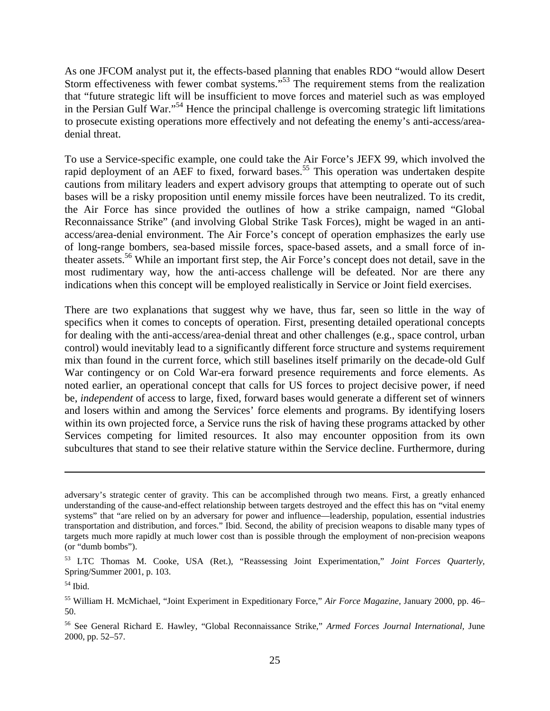As one JFCOM analyst put it, the effects-based planning that enables RDO "would allow Desert Storm effectiveness with fewer combat systems."<sup>53</sup> The requirement stems from the realization that "future strategic lift will be insufficient to move forces and materiel such as was employed in the Persian Gulf War."<sup>54</sup> Hence the principal challenge is overcoming strategic lift limitations to prosecute existing operations more effectively and not defeating the enemy's anti-access/areadenial threat.

To use a Service-specific example, one could take the Air Force's JEFX 99, which involved the rapid deployment of an AEF to fixed, forward bases.<sup>55</sup> This operation was undertaken despite cautions from military leaders and expert advisory groups that attempting to operate out of such bases will be a risky proposition until enemy missile forces have been neutralized. To its credit, the Air Force has since provided the outlines of how a strike campaign, named "Global Reconnaissance Strike" (and involving Global Strike Task Forces), might be waged in an antiaccess/area-denial environment. The Air Force's concept of operation emphasizes the early use of long-range bombers, sea-based missile forces, space-based assets, and a small force of intheater assets.<sup>56</sup> While an important first step, the Air Force's concept does not detail, save in the most rudimentary way, how the anti-access challenge will be defeated. Nor are there any indications when this concept will be employed realistically in Service or Joint field exercises.

There are two explanations that suggest why we have, thus far, seen so little in the way of specifics when it comes to concepts of operation. First, presenting detailed operational concepts for dealing with the anti-access/area-denial threat and other challenges (e.g., space control, urban control) would inevitably lead to a significantly different force structure and systems requirement mix than found in the current force, which still baselines itself primarily on the decade-old Gulf War contingency or on Cold War-era forward presence requirements and force elements. As noted earlier, an operational concept that calls for US forces to project decisive power, if need be, *independent* of access to large, fixed, forward bases would generate a different set of winners and losers within and among the Services' force elements and programs. By identifying losers within its own projected force, a Service runs the risk of having these programs attacked by other Services competing for limited resources. It also may encounter opposition from its own subcultures that stand to see their relative stature within the Service decline. Furthermore, during

adversary's strategic center of gravity. This can be accomplished through two means. First, a greatly enhanced understanding of the cause-and-effect relationship between targets destroyed and the effect this has on "vital enemy systems" that "are relied on by an adversary for power and influence—leadership, population, essential industries transportation and distribution, and forces." Ibid. Second, the ability of precision weapons to disable many types of targets much more rapidly at much lower cost than is possible through the employment of non-precision weapons (or "dumb bombs").

<sup>53</sup> LTC Thomas M. Cooke, USA (Ret.), "Reassessing Joint Experimentation," *Joint Forces Quarterly,* Spring/Summer 2001, p. 103.

 $54$  Ibid.

<sup>55</sup> William H. McMichael, "Joint Experiment in Expeditionary Force," *Air Force Magazine,* January 2000, pp. 46– 50.

<sup>56</sup> See General Richard E. Hawley, "Global Reconnaissance Strike," *Armed Forces Journal International,* June 2000, pp. 52–57.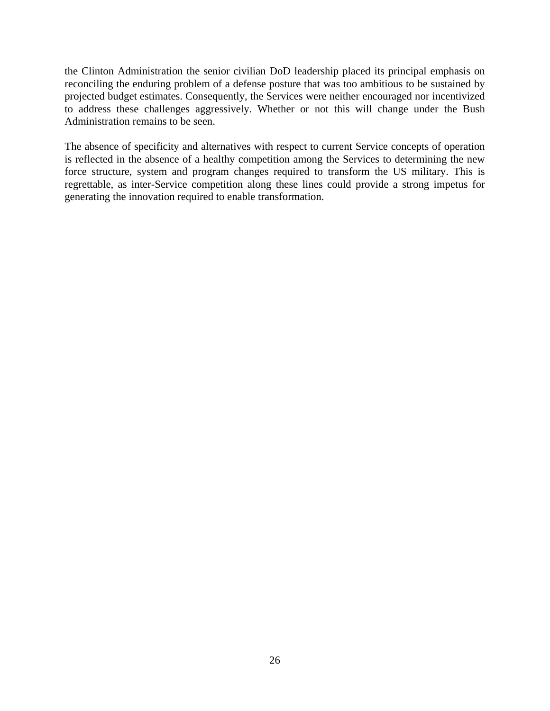the Clinton Administration the senior civilian DoD leadership placed its principal emphasis on reconciling the enduring problem of a defense posture that was too ambitious to be sustained by projected budget estimates. Consequently, the Services were neither encouraged nor incentivized to address these challenges aggressively. Whether or not this will change under the Bush Administration remains to be seen.

The absence of specificity and alternatives with respect to current Service concepts of operation is reflected in the absence of a healthy competition among the Services to determining the new force structure, system and program changes required to transform the US military. This is regrettable, as inter-Service competition along these lines could provide a strong impetus for generating the innovation required to enable transformation.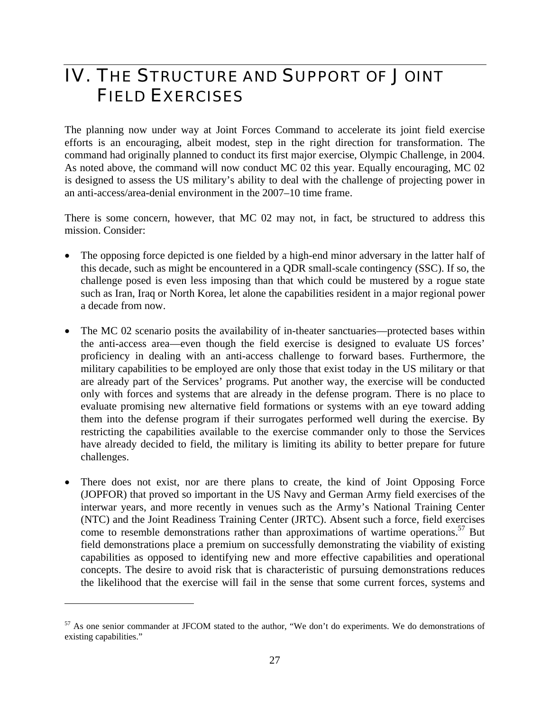### IV. THE STRUCTURE AND SUPPORT OF JOINT FIELD EXERCISES

The planning now under way at Joint Forces Command to accelerate its joint field exercise efforts is an encouraging, albeit modest, step in the right direction for transformation. The command had originally planned to conduct its first major exercise, Olympic Challenge, in 2004. As noted above, the command will now conduct MC 02 this year. Equally encouraging, MC 02 is designed to assess the US military's ability to deal with the challenge of projecting power in an anti-access/area-denial environment in the 2007–10 time frame.

There is some concern, however, that MC 02 may not, in fact, be structured to address this mission. Consider:

- The opposing force depicted is one fielded by a high-end minor adversary in the latter half of this decade, such as might be encountered in a QDR small-scale contingency (SSC). If so, the challenge posed is even less imposing than that which could be mustered by a rogue state such as Iran, Iraq or North Korea, let alone the capabilities resident in a major regional power a decade from now.
- The MC 02 scenario posits the availability of in-theater sanctuaries—protected bases within the anti-access area—even though the field exercise is designed to evaluate US forces' proficiency in dealing with an anti-access challenge to forward bases. Furthermore, the military capabilities to be employed are only those that exist today in the US military or that are already part of the Services' programs. Put another way, the exercise will be conducted only with forces and systems that are already in the defense program. There is no place to evaluate promising new alternative field formations or systems with an eye toward adding them into the defense program if their surrogates performed well during the exercise. By restricting the capabilities available to the exercise commander only to those the Services have already decided to field, the military is limiting its ability to better prepare for future challenges.
- There does not exist, nor are there plans to create, the kind of Joint Opposing Force (JOPFOR) that proved so important in the US Navy and German Army field exercises of the interwar years, and more recently in venues such as the Army's National Training Center (NTC) and the Joint Readiness Training Center (JRTC). Absent such a force, field exercises come to resemble demonstrations rather than approximations of wartime operations.<sup>57</sup> But field demonstrations place a premium on successfully demonstrating the viability of existing capabilities as opposed to identifying new and more effective capabilities and operational concepts. The desire to avoid risk that is characteristic of pursuing demonstrations reduces the likelihood that the exercise will fail in the sense that some current forces, systems and

1

<sup>57</sup> As one senior commander at JFCOM stated to the author, "We don't do experiments. We do demonstrations of existing capabilities."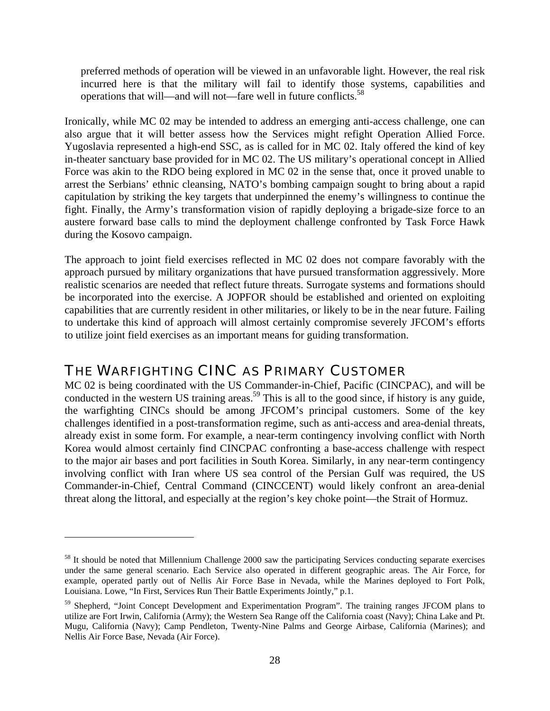preferred methods of operation will be viewed in an unfavorable light. However, the real risk incurred here is that the military will fail to identify those systems, capabilities and operations that will—and will not—fare well in future conflicts.<sup>58</sup>

Ironically, while MC 02 may be intended to address an emerging anti-access challenge, one can also argue that it will better assess how the Services might refight Operation Allied Force. Yugoslavia represented a high-end SSC, as is called for in MC 02. Italy offered the kind of key in-theater sanctuary base provided for in MC 02. The US military's operational concept in Allied Force was akin to the RDO being explored in MC 02 in the sense that, once it proved unable to arrest the Serbians' ethnic cleansing, NATO's bombing campaign sought to bring about a rapid capitulation by striking the key targets that underpinned the enemy's willingness to continue the fight. Finally, the Army's transformation vision of rapidly deploying a brigade-size force to an austere forward base calls to mind the deployment challenge confronted by Task Force Hawk during the Kosovo campaign.

The approach to joint field exercises reflected in MC 02 does not compare favorably with the approach pursued by military organizations that have pursued transformation aggressively. More realistic scenarios are needed that reflect future threats. Surrogate systems and formations should be incorporated into the exercise. A JOPFOR should be established and oriented on exploiting capabilities that are currently resident in other militaries, or likely to be in the near future. Failing to undertake this kind of approach will almost certainly compromise severely JFCOM's efforts to utilize joint field exercises as an important means for guiding transformation.

#### THE WARFIGHTING CINC AS PRIMARY CUSTOMER

 $\overline{a}$ 

MC 02 is being coordinated with the US Commander-in-Chief, Pacific (CINCPAC), and will be conducted in the western US training areas.<sup>59</sup> This is all to the good since, if history is any guide, the warfighting CINCs should be among JFCOM's principal customers. Some of the key challenges identified in a post-transformation regime, such as anti-access and area-denial threats, already exist in some form. For example, a near-term contingency involving conflict with North Korea would almost certainly find CINCPAC confronting a base-access challenge with respect to the major air bases and port facilities in South Korea. Similarly, in any near-term contingency involving conflict with Iran where US sea control of the Persian Gulf was required, the US Commander-in-Chief, Central Command (CINCCENT) would likely confront an area-denial threat along the littoral, and especially at the region's key choke point—the Strait of Hormuz.

<sup>&</sup>lt;sup>58</sup> It should be noted that Millennium Challenge 2000 saw the participating Services conducting separate exercises under the same general scenario. Each Service also operated in different geographic areas. The Air Force, for example, operated partly out of Nellis Air Force Base in Nevada, while the Marines deployed to Fort Polk, Louisiana. Lowe, "In First, Services Run Their Battle Experiments Jointly," p.1.

<sup>&</sup>lt;sup>59</sup> Shepherd, "Joint Concept Development and Experimentation Program". The training ranges JFCOM plans to utilize are Fort Irwin, California (Army); the Western Sea Range off the California coast (Navy); China Lake and Pt. Mugu, California (Navy); Camp Pendleton, Twenty-Nine Palms and George Airbase, California (Marines); and Nellis Air Force Base, Nevada (Air Force).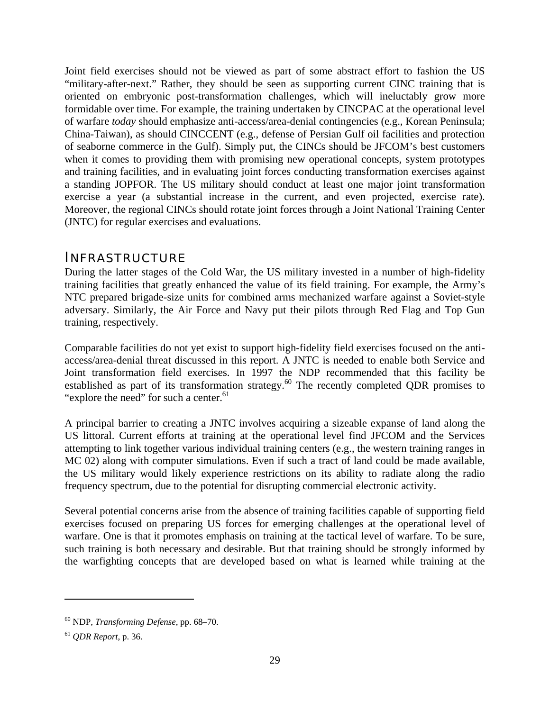Joint field exercises should not be viewed as part of some abstract effort to fashion the US "military-after-next." Rather, they should be seen as supporting current CINC training that is oriented on embryonic post-transformation challenges, which will ineluctably grow more formidable over time. For example, the training undertaken by CINCPAC at the operational level of warfare *today* should emphasize anti-access/area-denial contingencies (e.g., Korean Peninsula; China-Taiwan), as should CINCCENT (e.g., defense of Persian Gulf oil facilities and protection of seaborne commerce in the Gulf). Simply put, the CINCs should be JFCOM's best customers when it comes to providing them with promising new operational concepts, system prototypes and training facilities, and in evaluating joint forces conducting transformation exercises against a standing JOPFOR. The US military should conduct at least one major joint transformation exercise a year (a substantial increase in the current, and even projected, exercise rate). Moreover, the regional CINCs should rotate joint forces through a Joint National Training Center (JNTC) for regular exercises and evaluations.

#### INFRASTRUCTURE

During the latter stages of the Cold War, the US military invested in a number of high-fidelity training facilities that greatly enhanced the value of its field training. For example, the Army's NTC prepared brigade-size units for combined arms mechanized warfare against a Soviet-style adversary. Similarly, the Air Force and Navy put their pilots through Red Flag and Top Gun training, respectively.

Comparable facilities do not yet exist to support high-fidelity field exercises focused on the antiaccess/area-denial threat discussed in this report. A JNTC is needed to enable both Service and Joint transformation field exercises. In 1997 the NDP recommended that this facility be established as part of its transformation strategy.<sup>60</sup> The recently completed QDR promises to "explore the need" for such a center.<sup>61</sup>

A principal barrier to creating a JNTC involves acquiring a sizeable expanse of land along the US littoral. Current efforts at training at the operational level find JFCOM and the Services attempting to link together various individual training centers (e.g., the western training ranges in MC 02) along with computer simulations. Even if such a tract of land could be made available, the US military would likely experience restrictions on its ability to radiate along the radio frequency spectrum, due to the potential for disrupting commercial electronic activity.

Several potential concerns arise from the absence of training facilities capable of supporting field exercises focused on preparing US forces for emerging challenges at the operational level of warfare. One is that it promotes emphasis on training at the tactical level of warfare. To be sure, such training is both necessary and desirable. But that training should be strongly informed by the warfighting concepts that are developed based on what is learned while training at the

<sup>60</sup> NDP, *Transforming Defense*, pp. 68–70.

<sup>61</sup> *QDR Report*, p. 36.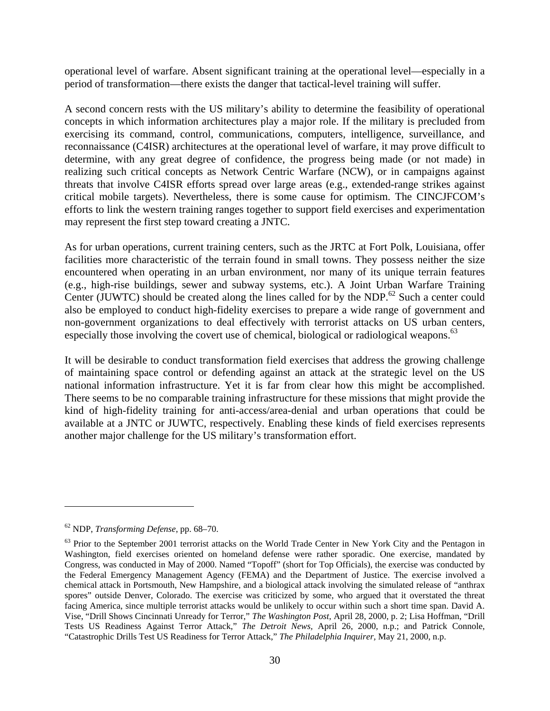operational level of warfare. Absent significant training at the operational level—especially in a period of transformation—there exists the danger that tactical-level training will suffer.

A second concern rests with the US military's ability to determine the feasibility of operational concepts in which information architectures play a major role. If the military is precluded from exercising its command, control, communications, computers, intelligence, surveillance, and reconnaissance (C4ISR) architectures at the operational level of warfare, it may prove difficult to determine, with any great degree of confidence, the progress being made (or not made) in realizing such critical concepts as Network Centric Warfare (NCW), or in campaigns against threats that involve C4ISR efforts spread over large areas (e.g., extended-range strikes against critical mobile targets). Nevertheless, there is some cause for optimism. The CINCJFCOM's efforts to link the western training ranges together to support field exercises and experimentation may represent the first step toward creating a JNTC.

As for urban operations, current training centers, such as the JRTC at Fort Polk, Louisiana, offer facilities more characteristic of the terrain found in small towns. They possess neither the size encountered when operating in an urban environment, nor many of its unique terrain features (e.g., high-rise buildings, sewer and subway systems, etc.). A Joint Urban Warfare Training Center (JUWTC) should be created along the lines called for by the NDP.<sup>62</sup> Such a center could also be employed to conduct high-fidelity exercises to prepare a wide range of government and non-government organizations to deal effectively with terrorist attacks on US urban centers, especially those involving the covert use of chemical, biological or radiological weapons.<sup>63</sup>

It will be desirable to conduct transformation field exercises that address the growing challenge of maintaining space control or defending against an attack at the strategic level on the US national information infrastructure. Yet it is far from clear how this might be accomplished. There seems to be no comparable training infrastructure for these missions that might provide the kind of high-fidelity training for anti-access/area-denial and urban operations that could be available at a JNTC or JUWTC, respectively. Enabling these kinds of field exercises represents another major challenge for the US military's transformation effort.

<sup>62</sup> NDP, *Transforming Defense*, pp. 68–70.

<sup>&</sup>lt;sup>63</sup> Prior to the September 2001 terrorist attacks on the World Trade Center in New York City and the Pentagon in Washington, field exercises oriented on homeland defense were rather sporadic. One exercise, mandated by Congress, was conducted in May of 2000. Named "Topoff" (short for Top Officials), the exercise was conducted by the Federal Emergency Management Agency (FEMA) and the Department of Justice. The exercise involved a chemical attack in Portsmouth, New Hampshire, and a biological attack involving the simulated release of "anthrax spores" outside Denver, Colorado. The exercise was criticized by some, who argued that it overstated the threat facing America, since multiple terrorist attacks would be unlikely to occur within such a short time span. David A. Vise, "Drill Shows Cincinnati Unready for Terror," *The Washington Post,* April 28, 2000, p. 2; Lisa Hoffman, "Drill Tests US Readiness Against Terror Attack," *The Detroit News,* April 26, 2000, n.p.; and Patrick Connole, "Catastrophic Drills Test US Readiness for Terror Attack," *The Philadelphia Inquirer,* May 21, 2000, n.p.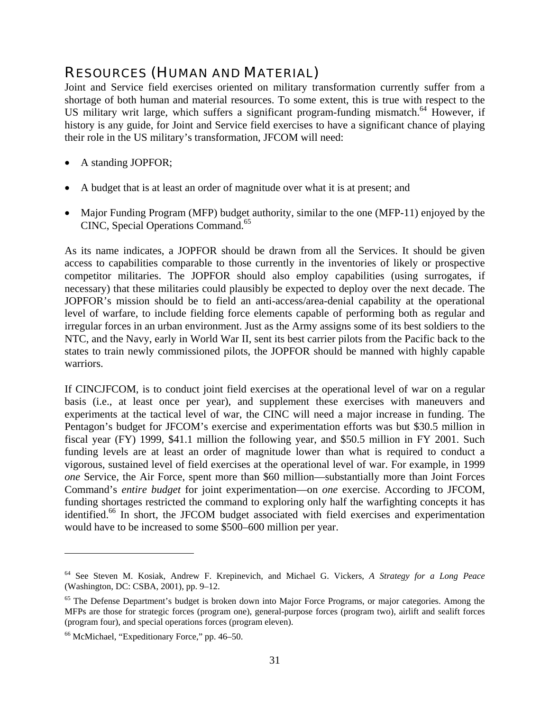### RESOURCES (HUMAN AND MATERIAL)

Joint and Service field exercises oriented on military transformation currently suffer from a shortage of both human and material resources. To some extent, this is true with respect to the US military writ large, which suffers a significant program-funding mismatch.<sup>64</sup> However, if history is any guide, for Joint and Service field exercises to have a significant chance of playing their role in the US military's transformation, JFCOM will need:

- A standing JOPFOR;
- A budget that is at least an order of magnitude over what it is at present; and
- Major Funding Program (MFP) budget authority, similar to the one (MFP-11) enjoyed by the CINC, Special Operations Command.<sup>65</sup>

As its name indicates, a JOPFOR should be drawn from all the Services. It should be given access to capabilities comparable to those currently in the inventories of likely or prospective competitor militaries. The JOPFOR should also employ capabilities (using surrogates, if necessary) that these militaries could plausibly be expected to deploy over the next decade. The JOPFOR's mission should be to field an anti-access/area-denial capability at the operational level of warfare, to include fielding force elements capable of performing both as regular and irregular forces in an urban environment. Just as the Army assigns some of its best soldiers to the NTC, and the Navy, early in World War II, sent its best carrier pilots from the Pacific back to the states to train newly commissioned pilots, the JOPFOR should be manned with highly capable warriors.

If CINCJFCOM, is to conduct joint field exercises at the operational level of war on a regular basis (i.e., at least once per year), and supplement these exercises with maneuvers and experiments at the tactical level of war, the CINC will need a major increase in funding. The Pentagon's budget for JFCOM's exercise and experimentation efforts was but \$30.5 million in fiscal year (FY) 1999, \$41.1 million the following year, and \$50.5 million in FY 2001. Such funding levels are at least an order of magnitude lower than what is required to conduct a vigorous, sustained level of field exercises at the operational level of war. For example, in 1999 *one* Service, the Air Force, spent more than \$60 million—substantially more than Joint Forces Command's *entire budget* for joint experimentation—on *one* exercise. According to JFCOM, funding shortages restricted the command to exploring only half the warfighting concepts it has identified.<sup>66</sup> In short, the JFCOM budget associated with field exercises and experimentation would have to be increased to some \$500–600 million per year.

<sup>64</sup> See Steven M. Kosiak, Andrew F. Krepinevich, and Michael G. Vickers, *A Strategy for a Long Peace* (Washington, DC: CSBA, 2001), pp. 9–12.

<sup>&</sup>lt;sup>65</sup> The Defense Department's budget is broken down into Major Force Programs, or major categories. Among the MFPs are those for strategic forces (program one), general-purpose forces (program two), airlift and sealift forces (program four), and special operations forces (program eleven).

<sup>66</sup> McMichael, "Expeditionary Force," pp. 46–50.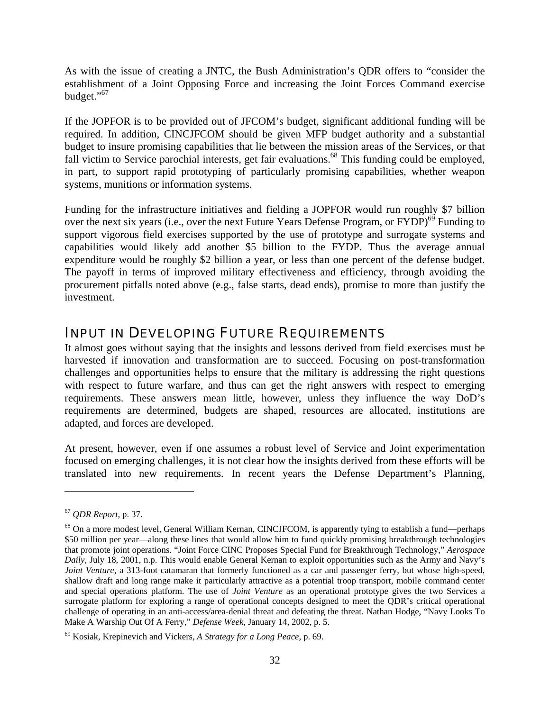As with the issue of creating a JNTC, the Bush Administration's QDR offers to "consider the establishment of a Joint Opposing Force and increasing the Joint Forces Command exercise budget."<sup>67</sup>

If the JOPFOR is to be provided out of JFCOM's budget, significant additional funding will be required. In addition, CINCJFCOM should be given MFP budget authority and a substantial budget to insure promising capabilities that lie between the mission areas of the Services, or that fall victim to Service parochial interests, get fair evaluations.<sup>68</sup> This funding could be employed, in part, to support rapid prototyping of particularly promising capabilities, whether weapon systems, munitions or information systems.

Funding for the infrastructure initiatives and fielding a JOPFOR would run roughly \$7 billion over the next six years (i.e., over the next Future Years Defense Program, or  $FYDP$ )<sup>69</sup> Funding to support vigorous field exercises supported by the use of prototype and surrogate systems and capabilities would likely add another \$5 billion to the FYDP. Thus the average annual expenditure would be roughly \$2 billion a year, or less than one percent of the defense budget. The payoff in terms of improved military effectiveness and efficiency, through avoiding the procurement pitfalls noted above (e.g., false starts, dead ends), promise to more than justify the investment.

#### INPUT IN DEVELOPING FUTURE REQUIREMENTS

It almost goes without saying that the insights and lessons derived from field exercises must be harvested if innovation and transformation are to succeed. Focusing on post-transformation challenges and opportunities helps to ensure that the military is addressing the right questions with respect to future warfare, and thus can get the right answers with respect to emerging requirements. These answers mean little, however, unless they influence the way DoD's requirements are determined, budgets are shaped, resources are allocated, institutions are adapted, and forces are developed.

At present, however, even if one assumes a robust level of Service and Joint experimentation focused on emerging challenges, it is not clear how the insights derived from these efforts will be translated into new requirements. In recent years the Defense Department's Planning,

<sup>67</sup> *QDR Report*, p. 37.

<sup>&</sup>lt;sup>68</sup> On a more modest level, General William Kernan, CINCJFCOM, is apparently tying to establish a fund—perhaps \$50 million per year—along these lines that would allow him to fund quickly promising breakthrough technologies that promote joint operations. "Joint Force CINC Proposes Special Fund for Breakthrough Technology," *Aerospace Daily,* July 18, 2001, n.p. This would enable General Kernan to exploit opportunities such as the Army and Navy's *Joint Venture*, a 313-foot catamaran that formerly functioned as a car and passenger ferry, but whose high-speed, shallow draft and long range make it particularly attractive as a potential troop transport, mobile command center and special operations platform. The use of *Joint Venture* as an operational prototype gives the two Services a surrogate platform for exploring a range of operational concepts designed to meet the QDR's critical operational challenge of operating in an anti-access/area-denial threat and defeating the threat. Nathan Hodge, "Navy Looks To Make A Warship Out Of A Ferry," *Defense Week,* January 14, 2002, p. 5.

<sup>69</sup> Kosiak, Krepinevich and Vickers, *A Strategy for a Long Peace*, p. 69.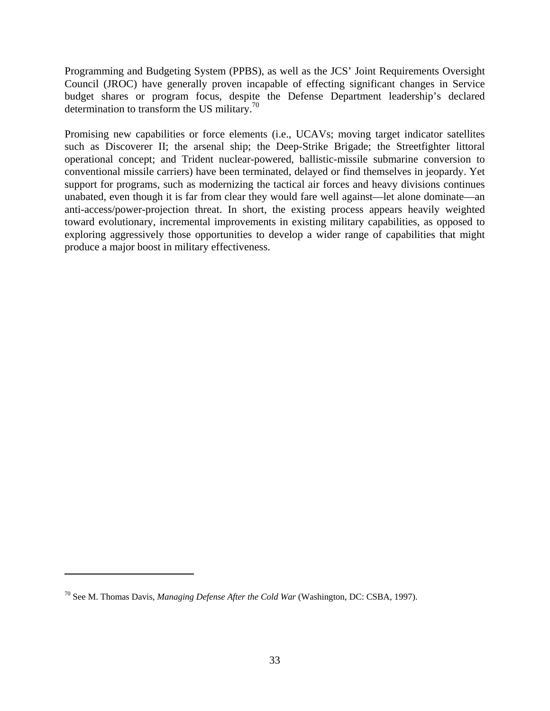Programming and Budgeting System (PPBS), as well as the JCS' Joint Requirements Oversight Council (JROC) have generally proven incapable of effecting significant changes in Service budget shares or program focus, despite the Defense Department leadership's declared determination to transform the US military. $\frac{70}{2}$ 

Promising new capabilities or force elements (i.e., UCAVs; moving target indicator satellites such as Discoverer II; the arsenal ship; the Deep-Strike Brigade; the Streetfighter littoral operational concept; and Trident nuclear-powered, ballistic-missile submarine conversion to conventional missile carriers) have been terminated, delayed or find themselves in jeopardy. Yet support for programs, such as modernizing the tactical air forces and heavy divisions continues unabated, even though it is far from clear they would fare well against—let alone dominate—an anti-access/power-projection threat. In short, the existing process appears heavily weighted toward evolutionary, incremental improvements in existing military capabilities, as opposed to exploring aggressively those opportunities to develop a wider range of capabilities that might produce a major boost in military effectiveness.

<sup>70</sup> See M. Thomas Davis, *Managing Defense After the Cold War* (Washington, DC: CSBA, 1997).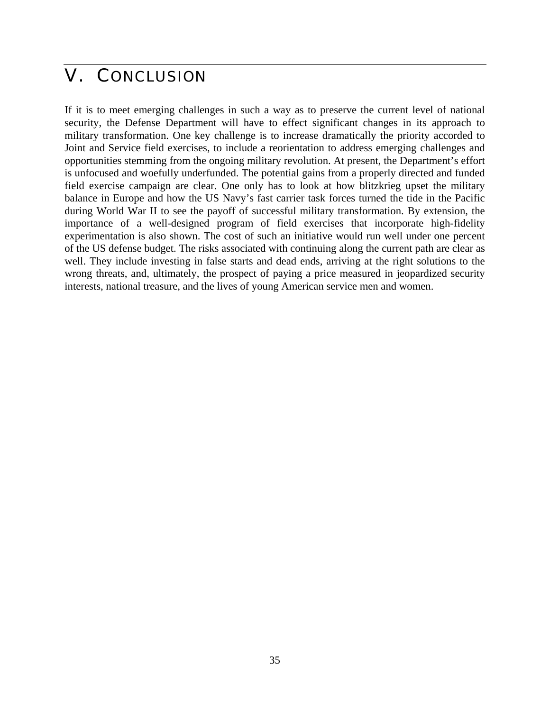## V. CONCLUSION

If it is to meet emerging challenges in such a way as to preserve the current level of national security, the Defense Department will have to effect significant changes in its approach to military transformation. One key challenge is to increase dramatically the priority accorded to Joint and Service field exercises, to include a reorientation to address emerging challenges and opportunities stemming from the ongoing military revolution. At present, the Department's effort is unfocused and woefully underfunded. The potential gains from a properly directed and funded field exercise campaign are clear. One only has to look at how blitzkrieg upset the military balance in Europe and how the US Navy's fast carrier task forces turned the tide in the Pacific during World War II to see the payoff of successful military transformation. By extension, the importance of a well-designed program of field exercises that incorporate high-fidelity experimentation is also shown. The cost of such an initiative would run well under one percent of the US defense budget. The risks associated with continuing along the current path are clear as well. They include investing in false starts and dead ends, arriving at the right solutions to the wrong threats, and, ultimately, the prospect of paying a price measured in jeopardized security interests, national treasure, and the lives of young American service men and women.